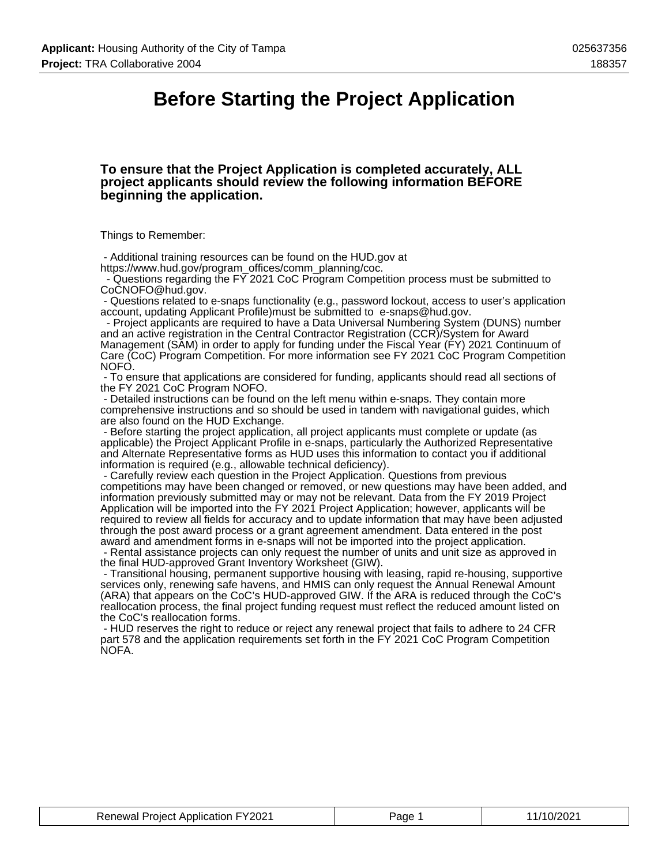## **Before Starting the Project Application**

#### **To ensure that the Project Application is completed accurately, ALL project applicants should review the following information BEFORE beginning the application.**

Things to Remember:

 - Additional training resources can be found on the HUD.gov at https://www.hud.gov/program\_offices/comm\_planning/coc.

 - Questions regarding the FY 2021 CoC Program Competition process must be submitted to CoCNOFO@hud.gov.

 - Questions related to e-snaps functionality (e.g., password lockout, access to user's application account, updating Applicant Profile)must be submitted to e-snaps@hud.gov.

 - Project applicants are required to have a Data Universal Numbering System (DUNS) number and an active registration in the Central Contractor Registration (CCR)/System for Award Management (SAM) in order to apply for funding under the Fiscal Year (FY) 2021 Continuum of Care (CoC) Program Competition. For more information see FY 2021 CoC Program Competition NOFO.

 - To ensure that applications are considered for funding, applicants should read all sections of the FY 2021 CoC Program NOFO.

 - Detailed instructions can be found on the left menu within e-snaps. They contain more comprehensive instructions and so should be used in tandem with navigational guides, which are also found on the HUD Exchange.

 - Before starting the project application, all project applicants must complete or update (as applicable) the Project Applicant Profile in e-snaps, particularly the Authorized Representative and Alternate Representative forms as HUD uses this information to contact you if additional information is required (e.g., allowable technical deficiency).

 - Carefully review each question in the Project Application. Questions from previous competitions may have been changed or removed, or new questions may have been added, and information previously submitted may or may not be relevant. Data from the FY 2019 Project Application will be imported into the FY 2021 Project Application; however, applicants will be required to review all fields for accuracy and to update information that may have been adjusted through the post award process or a grant agreement amendment. Data entered in the post award and amendment forms in e-snaps will not be imported into the project application.

 - Rental assistance projects can only request the number of units and unit size as approved in the final HUD-approved Grant Inventory Worksheet (GIW).

 - Transitional housing, permanent supportive housing with leasing, rapid re-housing, supportive services only, renewing safe havens, and HMIS can only request the Annual Renewal Amount (ARA) that appears on the CoC's HUD-approved GIW. If the ARA is reduced through the CoC's reallocation process, the final project funding request must reflect the reduced amount listed on the CoC's reallocation forms.

 - HUD reserves the right to reduce or reject any renewal project that fails to adhere to 24 CFR part 578 and the application requirements set forth in the FY 2021 CoC Program Competition NOFA.

| <b>Renewal Project Application FY2021</b> | Page 1 | 11/10/2021 |
|-------------------------------------------|--------|------------|
|-------------------------------------------|--------|------------|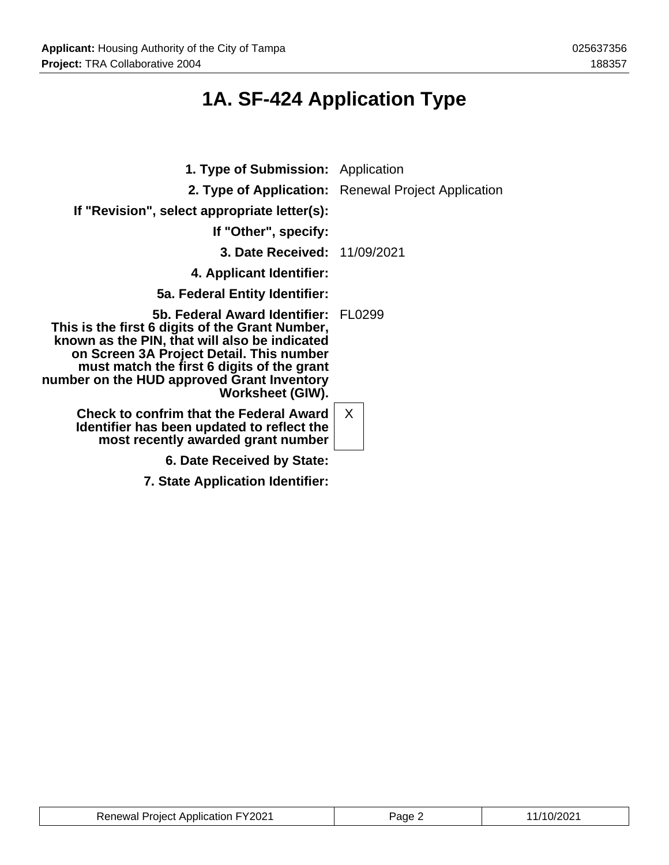# **1A. SF-424 Application Type**

| <b>1. Type of Submission:</b> Application                                                                                                                                                                                                                                                     |                                                     |
|-----------------------------------------------------------------------------------------------------------------------------------------------------------------------------------------------------------------------------------------------------------------------------------------------|-----------------------------------------------------|
|                                                                                                                                                                                                                                                                                               | 2. Type of Application: Renewal Project Application |
| If "Revision", select appropriate letter(s):                                                                                                                                                                                                                                                  |                                                     |
| If "Other", specify:                                                                                                                                                                                                                                                                          |                                                     |
| <b>3. Date Received: 11/09/2021</b>                                                                                                                                                                                                                                                           |                                                     |
| 4. Applicant Identifier:                                                                                                                                                                                                                                                                      |                                                     |
| 5a. Federal Entity Identifier:                                                                                                                                                                                                                                                                |                                                     |
| 5b. Federal Award Identifier:<br>This is the first 6 digits of the Grant Number,<br>known as the PIN, that will also be indicated<br>on Screen 3A Project Detail. This number<br>must match the first 6 digits of the grant<br>number on the HUD approved Grant Inventory<br>Worksheet (GIW). | <b>FL0299</b>                                       |
| <b>Check to confrim that the Federal Award</b><br>Identifier has been updated to reflect the<br>most recently awarded grant number                                                                                                                                                            | $\mathsf{X}$                                        |
| 6. Date Received by State:                                                                                                                                                                                                                                                                    |                                                     |
| 7. State Application Identifier:                                                                                                                                                                                                                                                              |                                                     |

| <b>Renewal Project Application FY2021</b> | Page 2 | 11/10/2021 |
|-------------------------------------------|--------|------------|
|-------------------------------------------|--------|------------|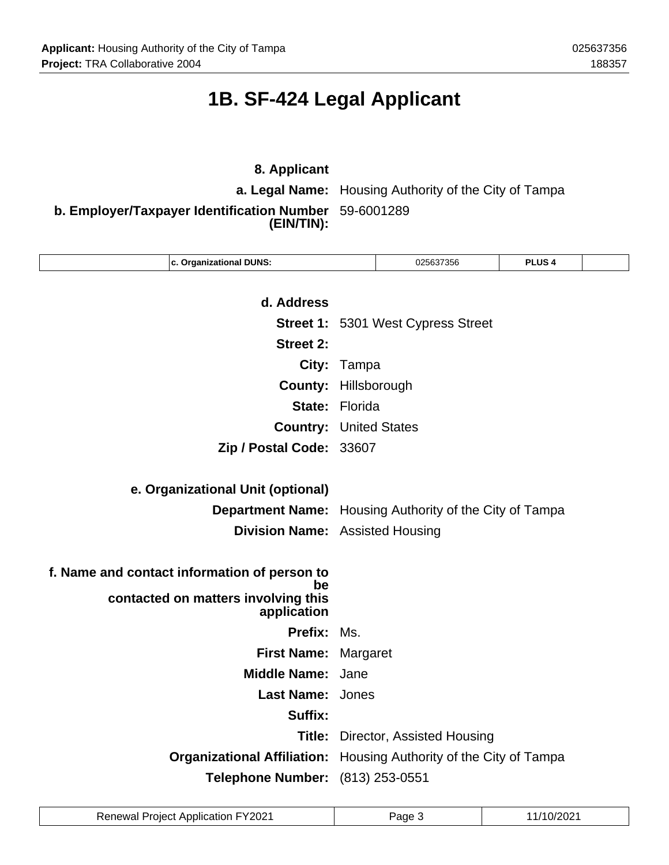# **1B. SF-424 Legal Applicant**

## **8. Applicant**

**a. Legal Name:** Housing Authority of the City of Tampa

**b. Employer/Taxpayer Identification Number** 59-6001289 **(EIN/TIN):**

| c. Organizational DUNS:                                                   |                | 025637356                                                      | <b>PLUS4</b> |  |
|---------------------------------------------------------------------------|----------------|----------------------------------------------------------------|--------------|--|
|                                                                           |                |                                                                |              |  |
| d. Address                                                                |                |                                                                |              |  |
|                                                                           |                | <b>Street 1: 5301 West Cypress Street</b>                      |              |  |
| <b>Street 2:</b>                                                          |                |                                                                |              |  |
| City:                                                                     | Tampa          |                                                                |              |  |
| County:                                                                   | Hillsborough   |                                                                |              |  |
|                                                                           | State: Florida |                                                                |              |  |
| <b>Country: United States</b>                                             |                |                                                                |              |  |
| Zip / Postal Code: 33607                                                  |                |                                                                |              |  |
|                                                                           |                |                                                                |              |  |
| e. Organizational Unit (optional)                                         |                |                                                                |              |  |
|                                                                           |                | <b>Department Name:</b> Housing Authority of the City of Tampa |              |  |
| <b>Division Name:</b> Assisted Housing                                    |                |                                                                |              |  |
|                                                                           |                |                                                                |              |  |
| f. Name and contact information of person to<br>be                        |                |                                                                |              |  |
| contacted on matters involving this<br>application                        |                |                                                                |              |  |
| Prefix: Ms.                                                               |                |                                                                |              |  |
| First Name: Margaret                                                      |                |                                                                |              |  |
| <b>Middle Name:</b>                                                       | Jane           |                                                                |              |  |
| Last Name: Jones                                                          |                |                                                                |              |  |
| Suffix:                                                                   |                |                                                                |              |  |
| Title:                                                                    |                | Director, Assisted Housing                                     |              |  |
| <b>Organizational Affiliation:</b> Housing Authority of the City of Tampa |                |                                                                |              |  |
| Telephone Number: (813) 253-0551                                          |                |                                                                |              |  |

| <b>Renewal Project Application FY2021</b> | Page 3 | 11/10/2021 |
|-------------------------------------------|--------|------------|
|-------------------------------------------|--------|------------|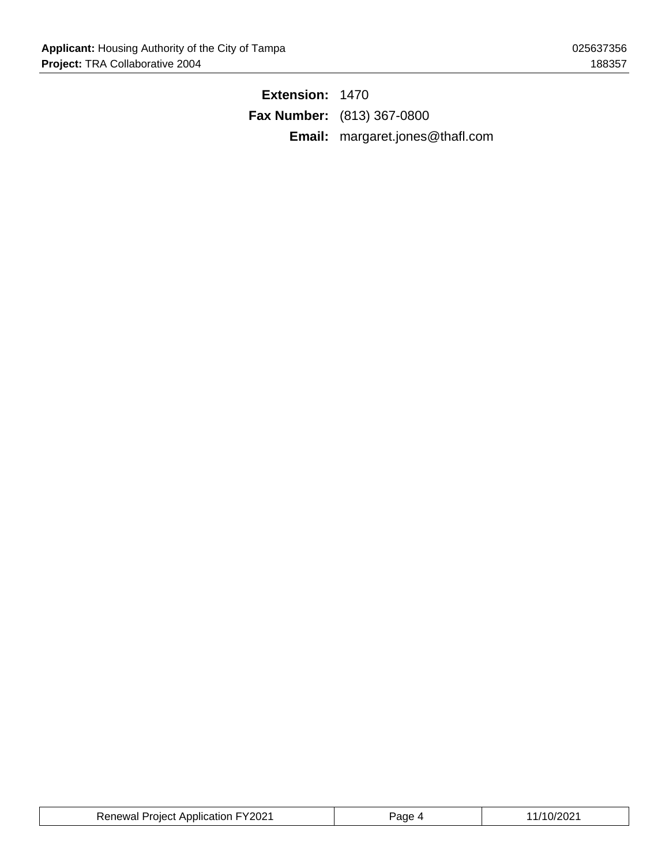**Extension:** 1470 **Fax Number:** (813) 367-0800 **Email:** margaret.jones@thafl.com

| <b>Renewal Project Application FY2021</b> | Page | 1/10/2021 |
|-------------------------------------------|------|-----------|
|-------------------------------------------|------|-----------|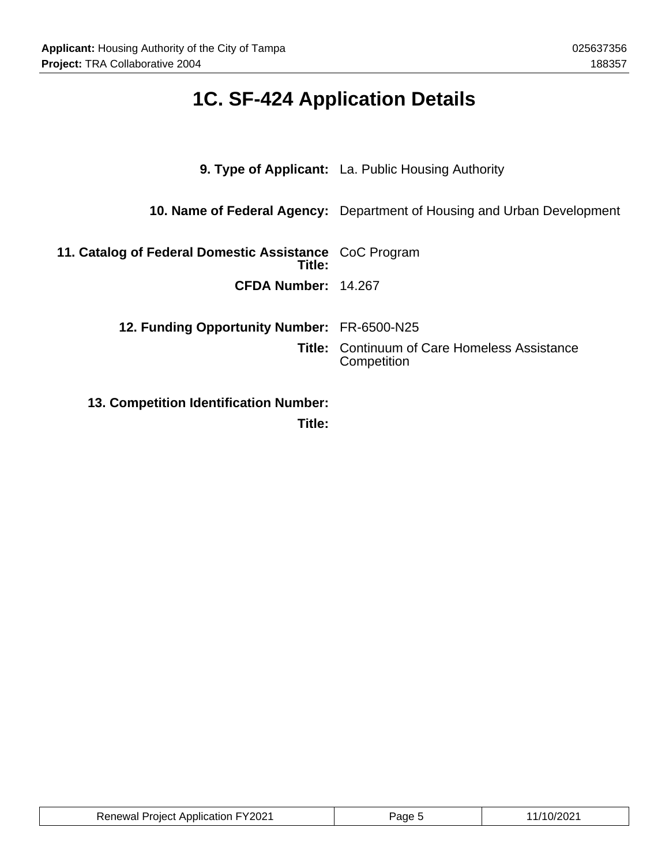# **1C. SF-424 Application Details**

| <b>9. Type of Applicant:</b> La. Public Housing Authority               |
|-------------------------------------------------------------------------|
| 10. Name of Federal Agency: Department of Housing and Urban Development |
| 11. Catalog of Federal Domestic Assistance CoC Program                  |
| CFDA Number: 14.267                                                     |
| <b>12. Funding Opportunity Number: FR-6500-N25</b>                      |
| <b>Title:</b> Continuum of Care Homeless Assistance<br>Competition      |
|                                                                         |
|                                                                         |

**Title:**

| <b>Renewal Project Application FY2021</b> | ane' | ____ |
|-------------------------------------------|------|------|
|-------------------------------------------|------|------|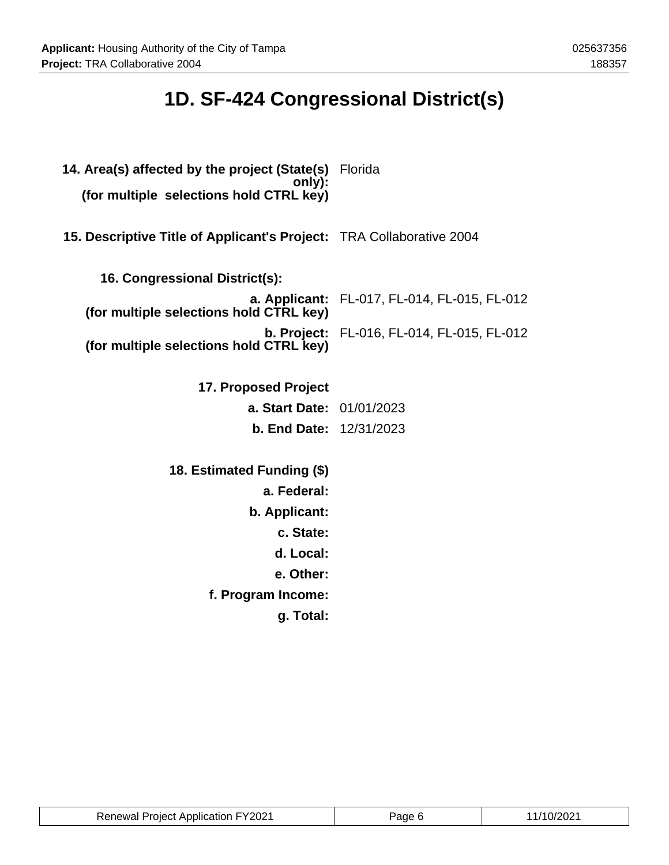# **1D. SF-424 Congressional District(s)**

| 14. Area(s) affected by the project (State(s) Florida<br>only):<br>(for multiple selections hold CTRL key) |                                                     |
|------------------------------------------------------------------------------------------------------------|-----------------------------------------------------|
| 15. Descriptive Title of Applicant's Project: TRA Collaborative 2004                                       |                                                     |
| 16. Congressional District(s):                                                                             |                                                     |
| (for multiple selections hold CTRL key)                                                                    | <b>a. Applicant:</b> FL-017, FL-014, FL-015, FL-012 |
| (for multiple selections hold CTRL key)                                                                    | <b>b. Project:</b> FL-016, FL-014, FL-015, FL-012   |
| 17. Proposed Project                                                                                       |                                                     |
| <b>a. Start Date: 01/01/2023</b>                                                                           |                                                     |
| <b>b. End Date: 12/31/2023</b>                                                                             |                                                     |
| 18. Estimated Funding (\$)                                                                                 |                                                     |
| a. Federal:                                                                                                |                                                     |
| b. Applicant:                                                                                              |                                                     |
| c. State:                                                                                                  |                                                     |
| d. Local:                                                                                                  |                                                     |
| e. Other:                                                                                                  |                                                     |
| f. Program Income:                                                                                         |                                                     |
| g. Total:                                                                                                  |                                                     |

| <b>Renewal Project Application FY2021</b> | Page 6 | 11/10/2021 |
|-------------------------------------------|--------|------------|
|-------------------------------------------|--------|------------|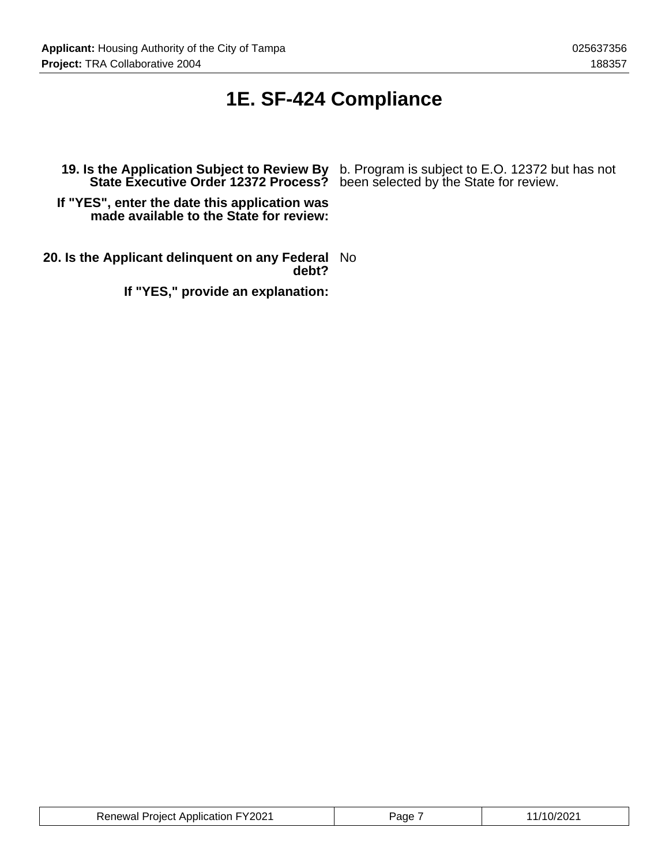## **1E. SF-424 Compliance**

**State Executive Order 12372 Process?** been selected by the State for review.

**19. Is the Application Subject to Review By** b. Program is subject to E.O. 12372 but has not

**If "YES", enter the date this application was made available to the State for review:**

**20. Is the Applicant delinquent on any Federal** No **debt?**

**If "YES," provide an explanation:**

| <b>Renewal Project Application FY2021</b> | Page | 11/10/2021 |
|-------------------------------------------|------|------------|
|-------------------------------------------|------|------------|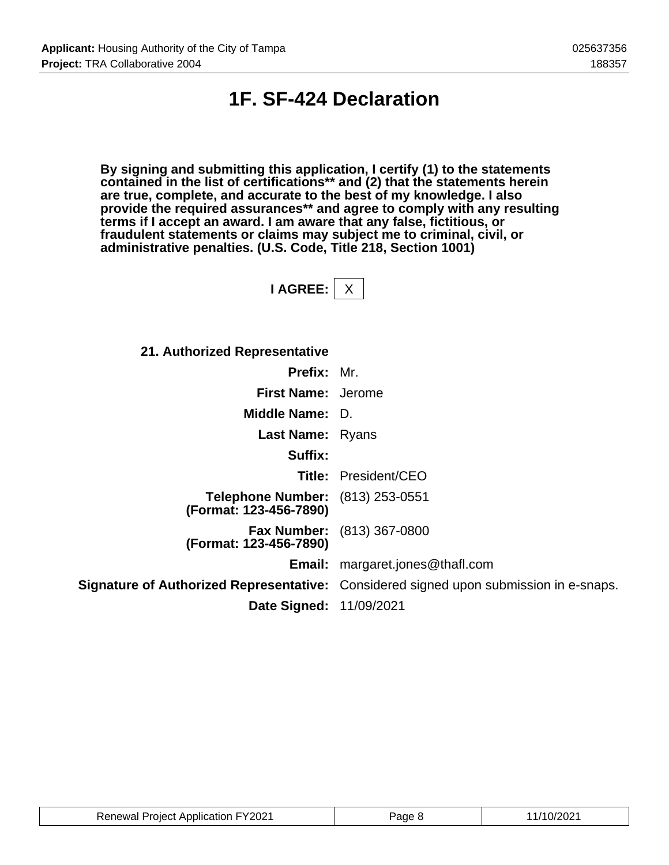## **1F. SF-424 Declaration**

**By signing and submitting this application, I certify (1) to the statements contained in the list of certifications\*\* and (2) that the statements herein are true, complete, and accurate to the best of my knowledge. I also provide the required assurances\*\* and agree to comply with any resulting terms if I accept an award. I am aware that any false, fictitious, or fraudulent statements or claims may subject me to criminal, civil, or administrative penalties. (U.S. Code, Title 218, Section 1001)**

**I AGREE:** X

**21. Authorized Representative**

| Prefix: Mr.                                                       |                                                                                              |
|-------------------------------------------------------------------|----------------------------------------------------------------------------------------------|
| First Name: Jerome                                                |                                                                                              |
| Middle Name: D.                                                   |                                                                                              |
| <b>Last Name:</b> Ryans                                           |                                                                                              |
| Suffix:                                                           |                                                                                              |
|                                                                   | <b>Title:</b> President/CEO                                                                  |
| <b>Telephone Number:</b> (813) 253-0551<br>(Format: 123-456-7890) |                                                                                              |
| (Format: 123-456-7890)                                            | <b>Fax Number:</b> (813) 367-0800                                                            |
|                                                                   | <b>Email:</b> margaret.jones@thafl.com                                                       |
|                                                                   | <b>Signature of Authorized Representative:</b> Considered signed upon submission in e-snaps. |
| <b>Date Signed: 11/09/2021</b>                                    |                                                                                              |

| <b>Renewal Project Application FY2021</b> | Page 8 | /10/2021 |
|-------------------------------------------|--------|----------|
|-------------------------------------------|--------|----------|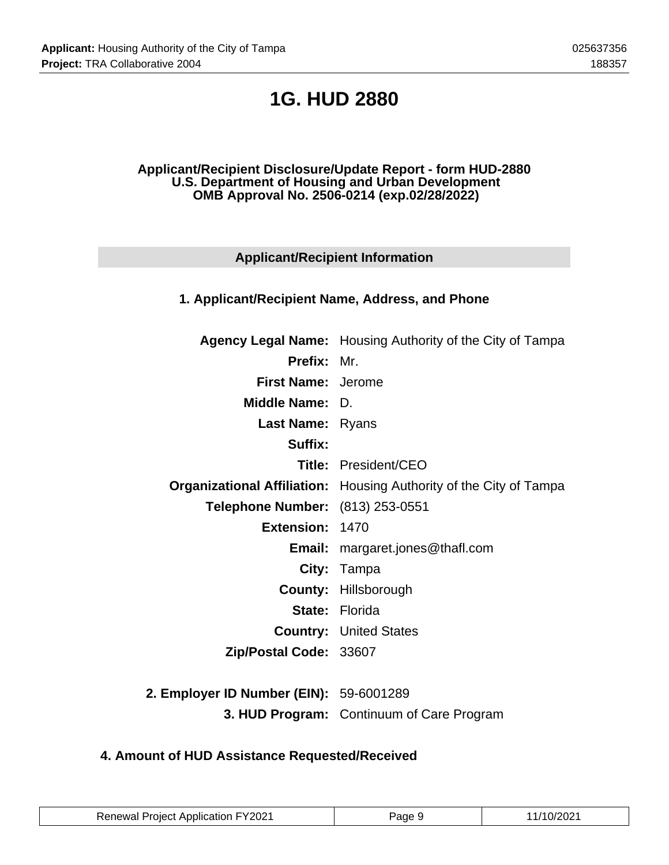# **1G. HUD 2880**

#### **Applicant/Recipient Disclosure/Update Report - form HUD-2880 U.S. Department of Housing and Urban Development OMB Approval No. 2506-0214 (exp.02/28/2022)**

## **Applicant/Recipient Information**

## **1. Applicant/Recipient Name, Address, and Phone**

|                                         | <b>Agency Legal Name:</b> Housing Authority of the City of Tampa          |  |
|-----------------------------------------|---------------------------------------------------------------------------|--|
| <b>Prefix: Mr.</b>                      |                                                                           |  |
| First Name: Jerome                      |                                                                           |  |
| Middle Name: D.                         |                                                                           |  |
| <b>Last Name: Ryans</b>                 |                                                                           |  |
| Suffix:                                 |                                                                           |  |
|                                         | <b>Title: President/CEO</b>                                               |  |
|                                         | <b>Organizational Affiliation:</b> Housing Authority of the City of Tampa |  |
| <b>Telephone Number:</b> (813) 253-0551 |                                                                           |  |
| Extension: 1470                         |                                                                           |  |
|                                         | <b>Email:</b> margaret.jones@thafl.com                                    |  |
|                                         | City: Tampa                                                               |  |
|                                         | <b>County: Hillsborough</b>                                               |  |
|                                         | <b>State: Florida</b>                                                     |  |
|                                         | <b>Country: United States</b>                                             |  |
| Zip/Postal Code: 33607                  |                                                                           |  |
|                                         |                                                                           |  |
|                                         |                                                                           |  |

**2. Employer ID Number (EIN):** 59-6001289 **3. HUD Program:** Continuum of Care Program

## **4. Amount of HUD Assistance Requested/Received**

| <b>Renewal Project Application FY2021</b> | Page 9 | 11/10/2021 |
|-------------------------------------------|--------|------------|
|-------------------------------------------|--------|------------|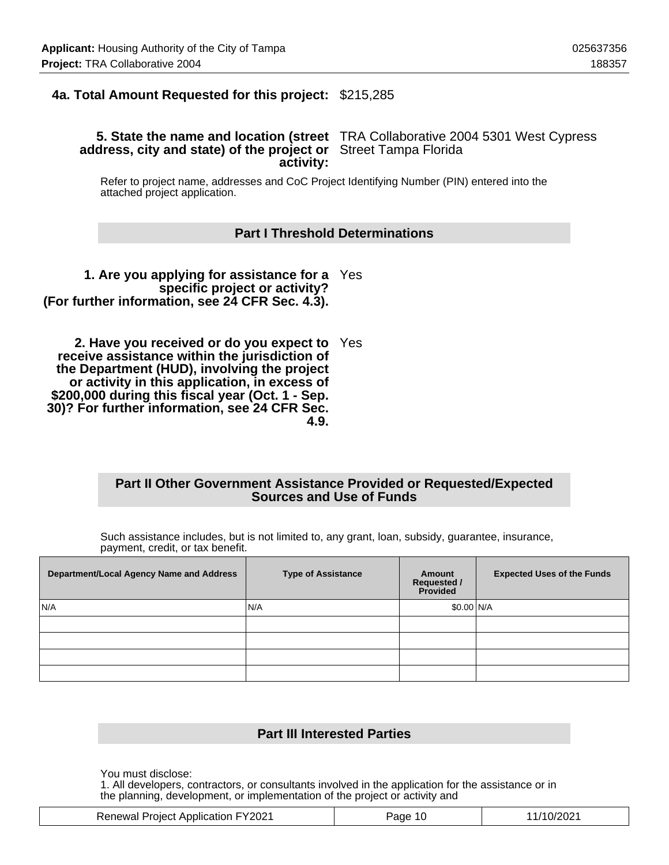## **4a. Total Amount Requested for this project:** \$215,285

#### **5. State the name and location (street** TRA Collaborative 2004 5301 West Cypress **address, city and state) of the project or** Street Tampa Florida **activity:**

Refer to project name, addresses and CoC Project Identifying Number (PIN) entered into the attached project application.

#### **Part I Threshold Determinations**

**1. Are you applying for assistance for a** Yes **specific project or activity? (For further information, see 24 CFR Sec. 4.3).**

**2. Have you received or do you expect to** Yes **receive assistance within the jurisdiction of the Department (HUD), involving the project or activity in this application, in excess of \$200,000 during this fiscal year (Oct. 1 - Sep. 30)? For further information, see 24 CFR Sec. 4.9.**

#### **Part II Other Government Assistance Provided or Requested/Expected Sources and Use of Funds**

Such assistance includes, but is not limited to, any grant, loan, subsidy, guarantee, insurance, payment, credit, or tax benefit.

| Department/Local Agency Name and Address | <b>Type of Assistance</b> | Amount<br><b>Requested /<br/>Provided</b> | <b>Expected Uses of the Funds</b> |
|------------------------------------------|---------------------------|-------------------------------------------|-----------------------------------|
| N/A                                      | N/A                       | \$0.00 N/A                                |                                   |
|                                          |                           |                                           |                                   |
|                                          |                           |                                           |                                   |
|                                          |                           |                                           |                                   |
|                                          |                           |                                           |                                   |

### **Part III Interested Parties**

You must disclose:

1. All developers, contractors, or consultants involved in the application for the assistance or in the planning, development, or implementation of the project or activity and

| <b>Renewal Project Application FY2021</b> | Page 10 | 11/10/2021 |
|-------------------------------------------|---------|------------|
|-------------------------------------------|---------|------------|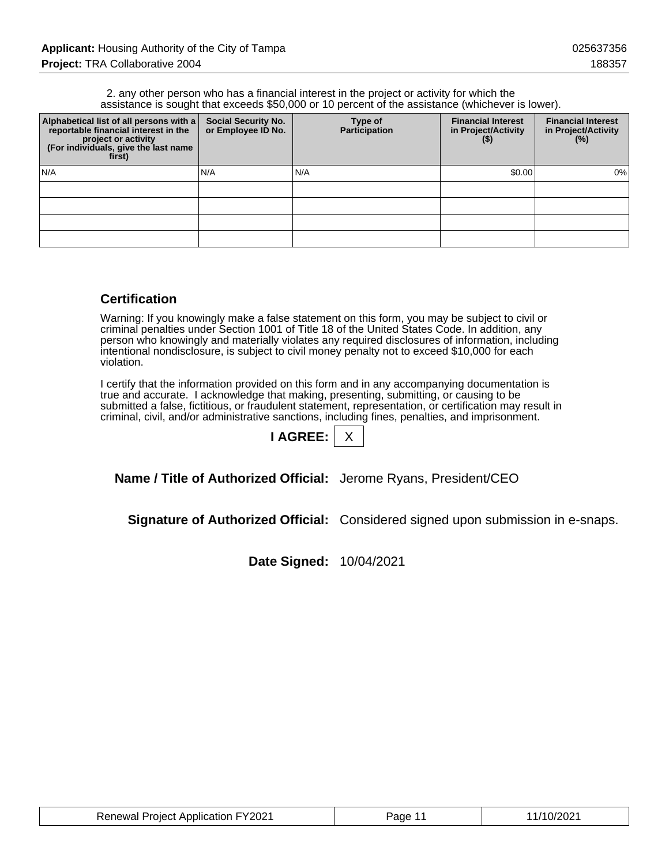2. any other person who has a financial interest in the project or activity for which the assistance is sought that exceeds \$50,000 or 10 percent of the assistance (whichever is lower).

| Alphabetical list of all persons with a<br>reportable financial interest in the<br>project or activity<br>(For individuals, give the last name<br>first) | <b>Social Security No.</b><br>or Employee ID No. | Type of<br>Participation | <b>Financial Interest</b><br>in Project/Activity<br>$($ \$) | <b>Financial Interest</b><br>in Project/Activity<br>(%) |
|----------------------------------------------------------------------------------------------------------------------------------------------------------|--------------------------------------------------|--------------------------|-------------------------------------------------------------|---------------------------------------------------------|
| N/A                                                                                                                                                      | N/A                                              | N/A                      | \$0.00                                                      | $0\%$                                                   |
|                                                                                                                                                          |                                                  |                          |                                                             |                                                         |
|                                                                                                                                                          |                                                  |                          |                                                             |                                                         |
|                                                                                                                                                          |                                                  |                          |                                                             |                                                         |
|                                                                                                                                                          |                                                  |                          |                                                             |                                                         |

### **Certification**

Warning: If you knowingly make a false statement on this form, you may be subject to civil or criminal penalties under Section 1001 of Title 18 of the United States Code. In addition, any person who knowingly and materially violates any required disclosures of information, including intentional nondisclosure, is subject to civil money penalty not to exceed \$10,000 for each violation.

I certify that the information provided on this form and in any accompanying documentation is true and accurate. I acknowledge that making, presenting, submitting, or causing to be submitted a false, fictitious, or fraudulent statement, representation, or certification may result in criminal, civil, and/or administrative sanctions, including fines, penalties, and imprisonment.

| <b>AGRE</b><br>г. |  |
|-------------------|--|
|-------------------|--|

**Name / Title of Authorized Official:** Jerome Ryans, President/CEO

**Signature of Authorized Official:** Considered signed upon submission in e-snaps.

**Date Signed:** 10/04/2021

| <b>Renewal Project Application FY2021</b> | Page 11 | 11/10/2021 |
|-------------------------------------------|---------|------------|
|-------------------------------------------|---------|------------|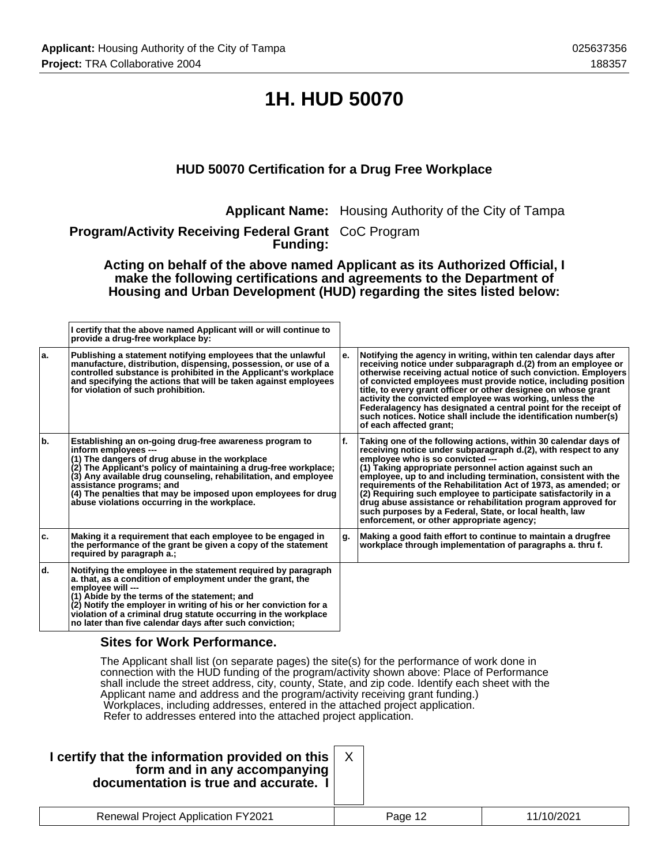# **1H. HUD 50070**

## **HUD 50070 Certification for a Drug Free Workplace**

**Applicant Name:** Housing Authority of the City of Tampa

**Program/Activity Receiving Federal Grant** CoC Program **Funding:**

**Acting on behalf of the above named Applicant as its Authorized Official, I make the following certifications and agreements to the Department of Housing and Urban Development (HUD) regarding the sites listed below:**

|     | I certify that the above named Applicant will or will continue to<br>provide a drug-free workplace by:                                                                                                                                                                                                                                                                                                                |    |                                                                                                                                                                                                                                                                                                                                                                                                                                                                                                                                                                                                                |
|-----|-----------------------------------------------------------------------------------------------------------------------------------------------------------------------------------------------------------------------------------------------------------------------------------------------------------------------------------------------------------------------------------------------------------------------|----|----------------------------------------------------------------------------------------------------------------------------------------------------------------------------------------------------------------------------------------------------------------------------------------------------------------------------------------------------------------------------------------------------------------------------------------------------------------------------------------------------------------------------------------------------------------------------------------------------------------|
| la. | Publishing a statement notifying employees that the unlawful<br>manufacture, distribution, dispensing, possession, or use of a<br>controlled substance is prohibited in the Applicant's workplace<br>and specifying the actions that will be taken against employees<br>for violation of such prohibition.                                                                                                            | е. | Notifying the agency in writing, within ten calendar days after<br>receiving notice under subparagraph d.(2) from an employee or<br>otherwise receiving actual notice of such conviction. Employers<br>of convicted employees must provide notice, including position<br>title, to every grant officer or other designee on whose grant<br>activity the convicted employee was working, unless the<br>Federalagency has designated a central point for the receipt of<br>such notices. Notice shall include the identification number(s)<br>of each affected grant:                                            |
| b.  | Establishing an on-going drug-free awareness program to<br>inform employees ---<br>(1) The dangers of drug abuse in the workplace<br>(2) The Applicant's policy of maintaining a drug-free workplace;<br>(3) Any available drug counseling, rehabilitation, and employee<br>assistance programs; and<br>(4) The penalties that may be imposed upon employees for drug<br>abuse violations occurring in the workplace. | f. | Taking one of the following actions, within 30 calendar days of<br>receiving notice under subparagraph d.(2), with respect to any<br>emplovee who is so convicted ---<br>(1) Taking appropriate personnel action against such an<br>employee, up to and including termination, consistent with the<br>requirements of the Rehabilitation Act of 1973, as amended; or<br>(2) Requiring such employee to participate satisfactorily in a<br>drug abuse assistance or rehabilitation program approved for<br>such purposes by a Federal, State, or local health, law<br>enforcement, or other appropriate agency; |
| ۱c. | Making it a requirement that each employee to be engaged in<br>the performance of the grant be given a copy of the statement<br>required by paragraph a.;                                                                                                                                                                                                                                                             | g. | Making a good faith effort to continue to maintain a drugfree<br>workplace through implementation of paragraphs a. thru f.                                                                                                                                                                                                                                                                                                                                                                                                                                                                                     |
| d.  | Notifying the employee in the statement required by paragraph<br>a. that, as a condition of employment under the grant, the<br>emplovee will ---<br>(1) Abide by the terms of the statement; and<br>(2) Notify the employer in writing of his or her conviction for a<br>violation of a criminal drug statute occurring in the workplace<br>no later than five calendar days after such conviction;                   |    |                                                                                                                                                                                                                                                                                                                                                                                                                                                                                                                                                                                                                |

### **Sites for Work Performance.**

The Applicant shall list (on separate pages) the site(s) for the performance of work done in connection with the HUD funding of the program/activity shown above: Place of Performance shall include the street address, city, county, State, and zip code. Identify each sheet with the Applicant name and address and the program/activity receiving grant funding.) Workplaces, including addresses, entered in the attached project application. Refer to addresses entered into the attached project application.

| I certify that the information provided on this<br>form and in any accompanying<br>documentation is true and accurate. I |         |            |
|--------------------------------------------------------------------------------------------------------------------------|---------|------------|
| <b>Renewal Project Application FY2021</b>                                                                                | Page 12 | 11/10/2021 |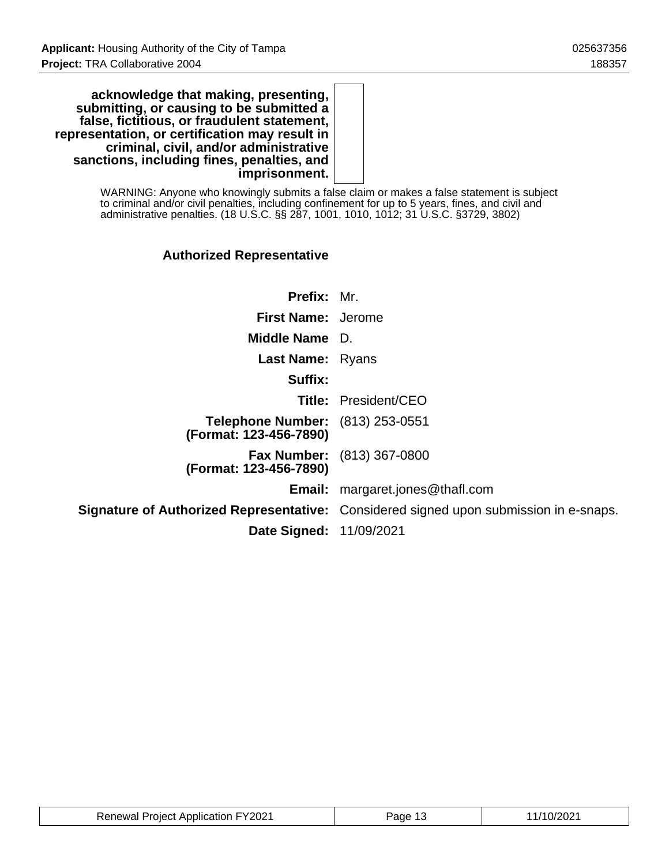**acknowledge that making, presenting, submitting, or causing to be submitted a false, fictitious, or fraudulent statement, representation, or certification may result in criminal, civil, and/or administrative sanctions, including fines, penalties, and imprisonment.**

> WARNING: Anyone who knowingly submits a false claim or makes a false statement is subject to criminal and/or civil penalties, including confinement for up to 5 years, fines, and civil and administrative penalties. (18 U.S.C. §§ 287, 1001, 1010, 1012; 31 U.S.C. §3729, 3802)

## **Authorized Representative**

| <b>Prefix: Mr.</b>                                                |                                                                                              |
|-------------------------------------------------------------------|----------------------------------------------------------------------------------------------|
| First Name: Jerome                                                |                                                                                              |
| Middle Name D.                                                    |                                                                                              |
| Last Name: Ryans                                                  |                                                                                              |
| Suffix:                                                           |                                                                                              |
|                                                                   | <b>Title: President/CEO</b>                                                                  |
| <b>Telephone Number:</b> (813) 253-0551<br>(Format: 123-456-7890) |                                                                                              |
| (Format: 123-456-7890)                                            | <b>Fax Number:</b> (813) 367-0800                                                            |
|                                                                   | <b>Email:</b> margaret.jones@thafl.com                                                       |
|                                                                   | <b>Signature of Authorized Representative:</b> Considered signed upon submission in e-snaps. |
| <b>Date Signed: 11/09/2021</b>                                    |                                                                                              |

| <b>Renewal Project Application FY2021</b> | Page 13 | 11/10/2021 |
|-------------------------------------------|---------|------------|
|-------------------------------------------|---------|------------|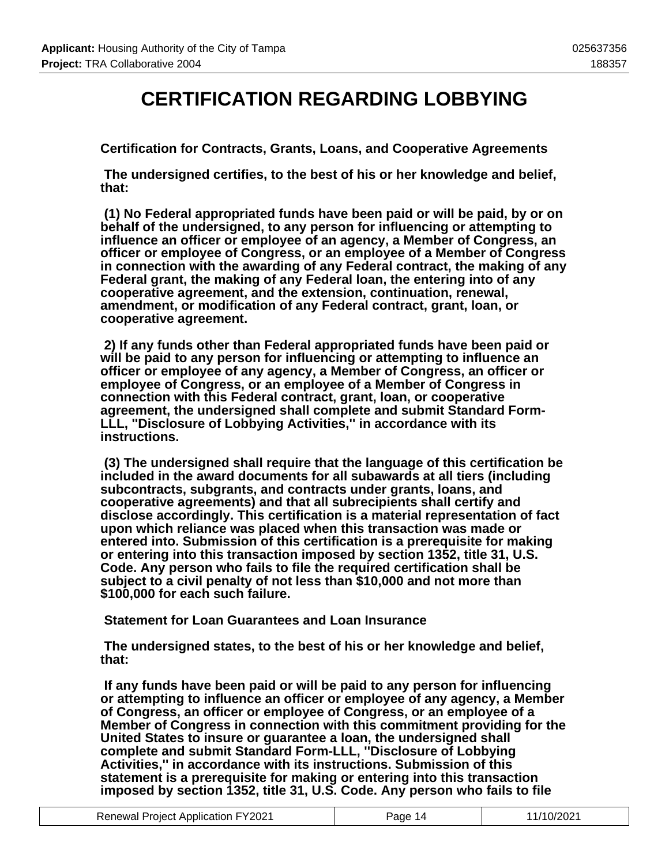## **CERTIFICATION REGARDING LOBBYING**

**Certification for Contracts, Grants, Loans, and Cooperative Agreements**

 **The undersigned certifies, to the best of his or her knowledge and belief, that:**

 **(1) No Federal appropriated funds have been paid or will be paid, by or on behalf of the undersigned, to any person for influencing or attempting to influence an officer or employee of an agency, a Member of Congress, an officer or employee of Congress, or an employee of a Member of Congress in connection with the awarding of any Federal contract, the making of any Federal grant, the making of any Federal loan, the entering into of any cooperative agreement, and the extension, continuation, renewal, amendment, or modification of any Federal contract, grant, loan, or cooperative agreement.**

 **2) If any funds other than Federal appropriated funds have been paid or will be paid to any person for influencing or attempting to influence an officer or employee of any agency, a Member of Congress, an officer or employee of Congress, or an employee of a Member of Congress in connection with this Federal contract, grant, loan, or cooperative agreement, the undersigned shall complete and submit Standard Form-LLL, ''Disclosure of Lobbying Activities,'' in accordance with its instructions.**

 **(3) The undersigned shall require that the language of this certification be included in the award documents for all subawards at all tiers (including subcontracts, subgrants, and contracts under grants, loans, and cooperative agreements) and that all subrecipients shall certify and disclose accordingly. This certification is a material representation of fact upon which reliance was placed when this transaction was made or entered into. Submission of this certification is a prerequisite for making or entering into this transaction imposed by section 1352, title 31, U.S. Code. Any person who fails to file the required certification shall be subject to a civil penalty of not less than \$10,000 and not more than \$100,000 for each such failure.**

 **Statement for Loan Guarantees and Loan Insurance**

 **The undersigned states, to the best of his or her knowledge and belief, that:**

 **If any funds have been paid or will be paid to any person for influencing or attempting to influence an officer or employee of any agency, a Member of Congress, an officer or employee of Congress, or an employee of a Member of Congress in connection with this commitment providing for the United States to insure or guarantee a loan, the undersigned shall complete and submit Standard Form-LLL, ''Disclosure of Lobbying Activities,'' in accordance with its instructions. Submission of this statement is a prerequisite for making or entering into this transaction imposed by section 1352, title 31, U.S. Code. Any person who fails to file**

| <b>Renewal Project Application FY2021</b> | Page 14 | 11/10/2021 |
|-------------------------------------------|---------|------------|
|-------------------------------------------|---------|------------|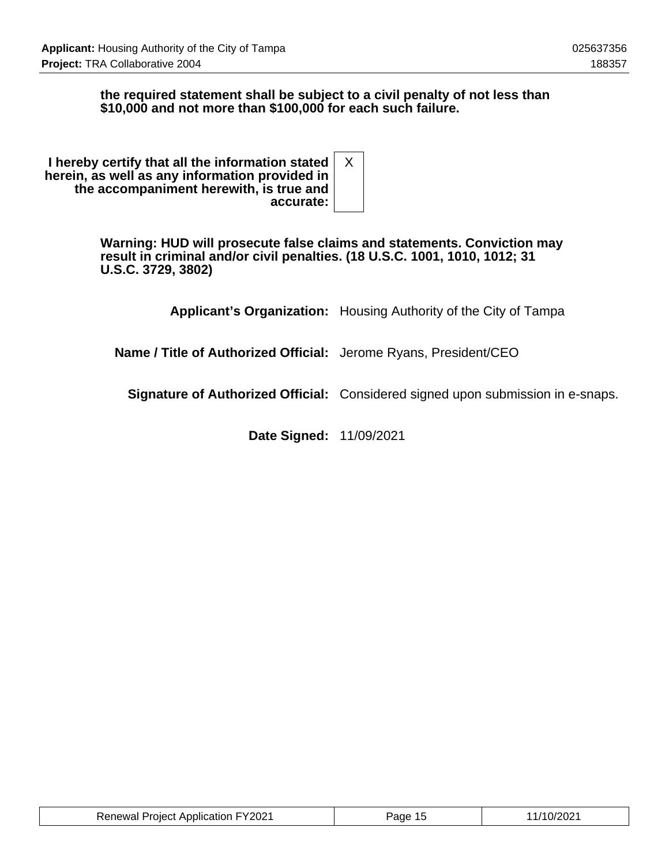### **the required statement shall be subject to a civil penalty of not less than \$10,000 and not more than \$100,000 for each such failure.**

| I hereby certify that all the information stated  <br>herein, as well as any information provided in<br>the accompaniment herewith, is true and |  |
|-------------------------------------------------------------------------------------------------------------------------------------------------|--|
| accurate:                                                                                                                                       |  |

**Warning: HUD will prosecute false claims and statements. Conviction may result in criminal and/or civil penalties. (18 U.S.C. 1001, 1010, 1012; 31 U.S.C. 3729, 3802)**

**Applicant's Organization:** Housing Authority of the City of Tampa

**Name / Title of Authorized Official:** Jerome Ryans, President/CEO

**Signature of Authorized Official:** Considered signed upon submission in e-snaps.

**Date Signed:** 11/09/2021

| <b>Renewal Project Application FY2021</b> | Page 15 | 11/10/2021 |
|-------------------------------------------|---------|------------|
|-------------------------------------------|---------|------------|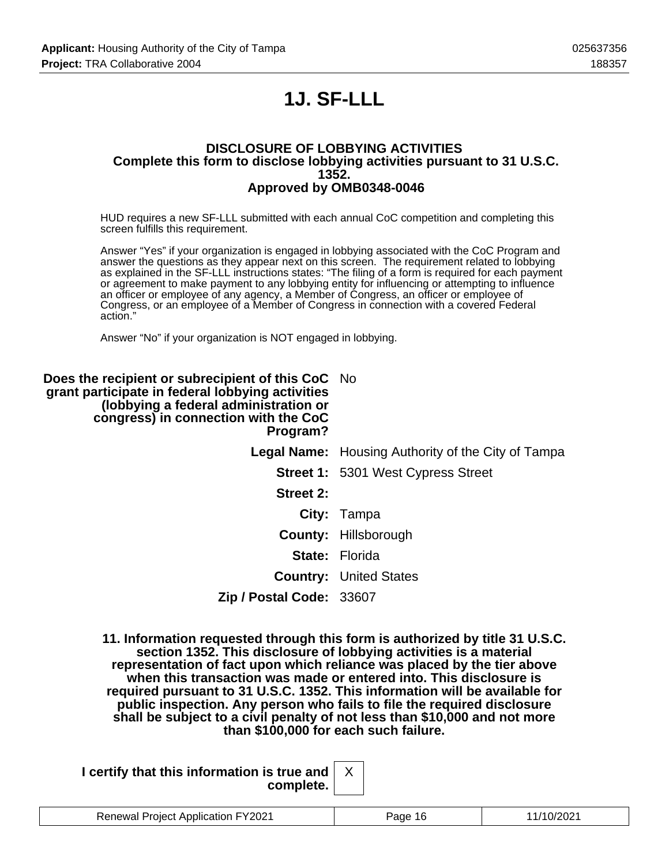# **1J. SF-LLL**

#### **DISCLOSURE OF LOBBYING ACTIVITIES Complete this form to disclose lobbying activities pursuant to 31 U.S.C. 1352. Approved by OMB0348-0046**

HUD requires a new SF-LLL submitted with each annual CoC competition and completing this screen fulfills this requirement.

Answer "Yes" if your organization is engaged in lobbying associated with the CoC Program and answer the questions as they appear next on this screen. The requirement related to lobbying as explained in the SF-LLL instructions states: "The filing of a form is required for each payment or agreement to make payment to any lobbying entity for influencing or attempting to influence an officer or employee of any agency, a Member of Congress, an officer or employee of Congress, or an employee of a Member of Congress in connection with a covered Federal action."

Answer "No" if your organization is NOT engaged in lobbying.

| Does the recipient or subrecipient of this CoC No<br>grant participate in federal lobbying activities<br>(lobbying a federal administration or<br>congress) in connection with the CoC<br>Program? |                                                           |
|----------------------------------------------------------------------------------------------------------------------------------------------------------------------------------------------------|-----------------------------------------------------------|
|                                                                                                                                                                                                    | <b>Legal Name:</b> Housing Authority of the City of Tampa |
|                                                                                                                                                                                                    | <b>Street 1: 5301 West Cypress Street</b>                 |
| Street 2:                                                                                                                                                                                          |                                                           |
|                                                                                                                                                                                                    | City: Tampa                                               |
|                                                                                                                                                                                                    | <b>County: Hillsborough</b>                               |
|                                                                                                                                                                                                    | <b>State: Florida</b>                                     |
|                                                                                                                                                                                                    | <b>Country: United States</b>                             |
| Zip / Postal Code: 33607                                                                                                                                                                           |                                                           |
|                                                                                                                                                                                                    |                                                           |

**11. Information requested through this form is authorized by title 31 U.S.C. section 1352. This disclosure of lobbying activities is a material representation of fact upon which reliance was placed by the tier above when this transaction was made or entered into. This disclosure is required pursuant to 31 U.S.C. 1352. This information will be available for public inspection. Any person who fails to file the required disclosure shall be subject to a civil penalty of not less than \$10,000 and not more than \$100,000 for each such failure.**

| I certify that this information is true and $\vert$ |  |
|-----------------------------------------------------|--|
| complete.                                           |  |

| Application FY2021<br>Proiect<br>.kenewar<br>_ _ _ | ане: |  |
|----------------------------------------------------|------|--|
|                                                    |      |  |

X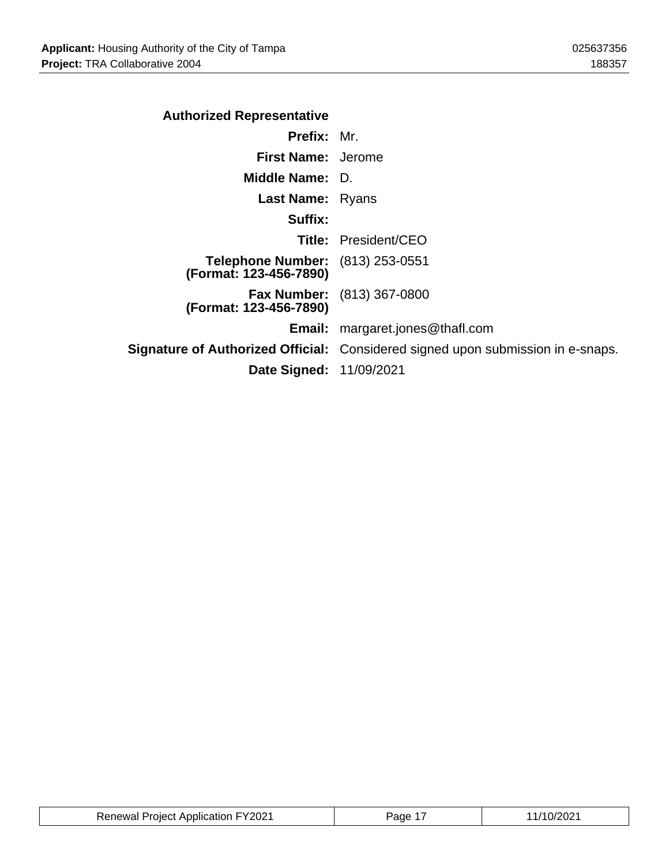| <b>Prefix: Mr.</b>                                                              |
|---------------------------------------------------------------------------------|
| <b>First Name: Jerome</b>                                                       |
| Middle Name: D.                                                                 |
| <b>Last Name:</b> Ryans                                                         |
|                                                                                 |
| <b>Title: President/CEO</b>                                                     |
| <b>Telephone Number:</b> (813) 253-0551                                         |
| <b>Fax Number:</b> (813) 367-0800                                               |
| <b>Email:</b> margaret.jones@thafl.com                                          |
| Signature of Authorized Official: Considered signed upon submission in e-snaps. |
| Date Signed: 11/09/2021                                                         |
|                                                                                 |

| <b>Renewal Project Application FY2021</b> | Paαe | /10/202 |
|-------------------------------------------|------|---------|
|-------------------------------------------|------|---------|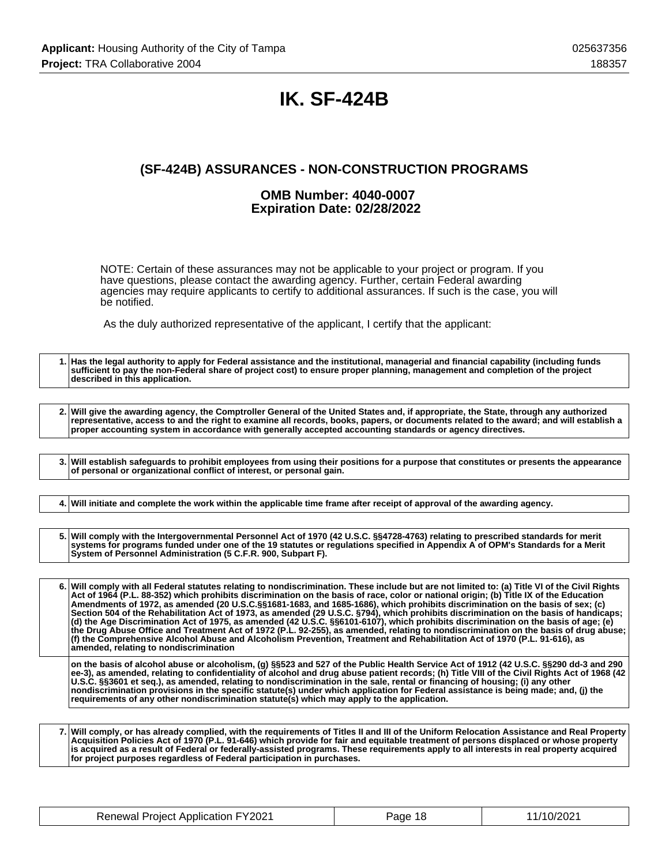## **IK. SF-424B**

## **(SF-424B) ASSURANCES - NON-CONSTRUCTION PROGRAMS**

#### **OMB Number: 4040-0007 Expiration Date: 02/28/2022**

NOTE: Certain of these assurances may not be applicable to your project or program. If you have questions, please contact the awarding agency. Further, certain Federal awarding agencies may require applicants to certify to additional assurances. If such is the case, you will be notified.

As the duly authorized representative of the applicant, I certify that the applicant:

**1. Has the legal authority to apply for Federal assistance and the institutional, managerial and financial capability (including funds sufficient to pay the non-Federal share of project cost) to ensure proper planning, management and completion of the project described in this application. 2. Will give the awarding agency, the Comptroller General of the United States and, if appropriate, the State, through any authorized representative, access to and the right to examine all records, books, papers, or documents related to the award; and will establish a proper accounting system in accordance with generally accepted accounting standards or agency directives. 3. Will establish safeguards to prohibit employees from using their positions for a purpose that constitutes or presents the appearance of personal or organizational conflict of interest, or personal gain. 4. Will initiate and complete the work within the applicable time frame after receipt of approval of the awarding agency. 5. Will comply with the Intergovernmental Personnel Act of 1970 (42 U.S.C. §§4728-4763) relating to prescribed standards for merit systems for programs funded under one of the 19 statutes or regulations specified in Appendix A of OPM's Standards for a Merit System of Personnel Administration (5 C.F.R. 900, Subpart F). 6. Will comply with all Federal statutes relating to nondiscrimination. These include but are not limited to: (a) Title VI of the Civil Rights Act of 1964 (P.L. 88-352) which prohibits discrimination on the basis of race, color or national origin; (b) Title IX of the Education Amendments of 1972, as amended (20 U.S.C.§§1681-1683, and 1685-1686), which prohibits discrimination on the basis of sex; (c) Section 504 of the Rehabilitation Act of 1973, as amended (29 U.S.C. §794), which prohibits discrimination on the basis of handicaps; (d) the Age Discrimination Act of 1975, as amended (42 U.S.C. §§6101-6107), which prohibits discrimination on the basis of age; (e)**

**the Drug Abuse Office and Treatment Act of 1972 (P.L. 92-255), as amended, relating to nondiscrimination on the basis of drug abuse; (f) the Comprehensive Alcohol Abuse and Alcoholism Prevention, Treatment and Rehabilitation Act of 1970 (P.L. 91-616), as amended, relating to nondiscrimination on the basis of alcohol abuse or alcoholism, (g) §§523 and 527 of the Public Health Service Act of 1912 (42 U.S.C. §§290 dd-3 and 290 ee-3), as amended, relating to confidentiality of alcohol and drug abuse patient records; (h) Title VIII of the Civil Rights Act of 1968 (42 U.S.C. §§3601 et seq.), as amended, relating to nondiscrimination in the sale, rental or financing of housing; (i) any other**

**nondiscrimination provisions in the specific statute(s) under which application for Federal assistance is being made; and, (j) the requirements of any other nondiscrimination statute(s) which may apply to the application. 7. Will comply, or has already complied, with the requirements of Titles II and III of the Uniform Relocation Assistance and Real Property**

**Acquisition Policies Act of 1970 (P.L. 91-646) which provide for fair and equitable treatment of persons displaced or whose property is acquired as a result of Federal or federally-assisted programs. These requirements apply to all interests in real property acquired for project purposes regardless of Federal participation in purchases.**

| <b>Renewal Project Application FY2021</b> | Page 18 | 11/10/2021 |
|-------------------------------------------|---------|------------|
|-------------------------------------------|---------|------------|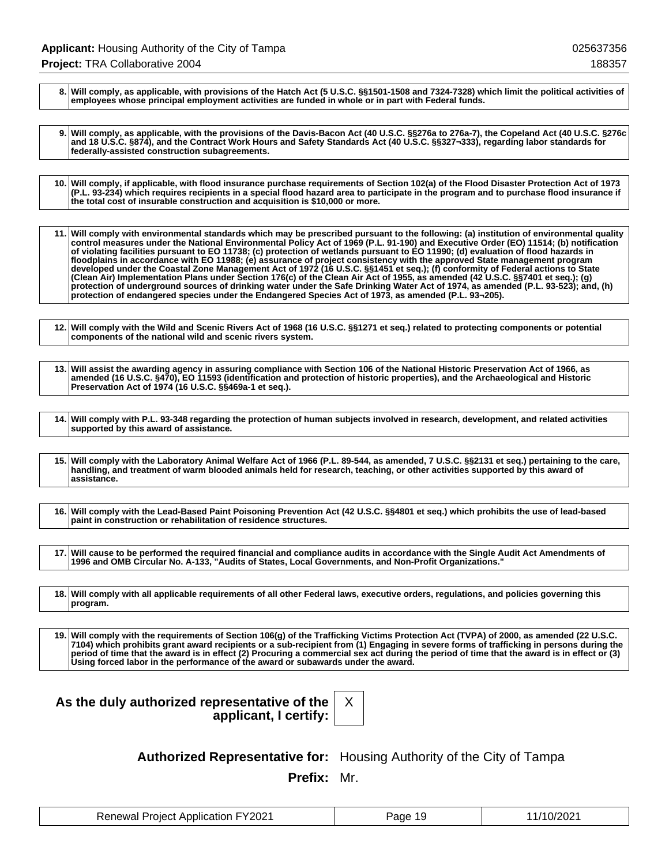**8. Will comply, as applicable, with provisions of the Hatch Act (5 U.S.C. §§1501-1508 and 7324-7328) which limit the political activities of employees whose principal employment activities are funded in whole or in part with Federal funds.**

**9. Will comply, as applicable, with the provisions of the Davis-Bacon Act (40 U.S.C. §§276a to 276a-7), the Copeland Act (40 U.S.C. §276c and 18 U.S.C. §874), and the Contract Work Hours and Safety Standards Act (40 U.S.C. §§327¬333), regarding labor standards for federally-assisted construction subagreements.**

**10. Will comply, if applicable, with flood insurance purchase requirements of Section 102(a) of the Flood Disaster Protection Act of 1973 (P.L. 93-234) which requires recipients in a special flood hazard area to participate in the program and to purchase flood insurance if the total cost of insurable construction and acquisition is \$10,000 or more.**

**11. Will comply with environmental standards which may be prescribed pursuant to the following: (a) institution of environmental quality control measures under the National Environmental Policy Act of 1969 (P.L. 91-190) and Executive Order (EO) 11514; (b) notification of violating facilities pursuant to EO 11738; (c) protection of wetlands pursuant to EO 11990; (d) evaluation of flood hazards in floodplains in accordance with EO 11988; (e) assurance of project consistency with the approved State management program developed under the Coastal Zone Management Act of 1972 (16 U.S.C. §§1451 et seq.); (f) conformity of Federal actions to State (Clean Air) Implementation Plans under Section 176(c) of the Clean Air Act of 1955, as amended (42 U.S.C. §§7401 et seq.); (g) protection of underground sources of drinking water under the Safe Drinking Water Act of 1974, as amended (P.L. 93-523); and, (h) protection of endangered species under the Endangered Species Act of 1973, as amended (P.L. 93¬205).**

**12. Will comply with the Wild and Scenic Rivers Act of 1968 (16 U.S.C. §§1271 et seq.) related to protecting components or potential components of the national wild and scenic rivers system.**

**13. Will assist the awarding agency in assuring compliance with Section 106 of the National Historic Preservation Act of 1966, as amended (16 U.S.C. §470), EO 11593 (identification and protection of historic properties), and the Archaeological and Historic Preservation Act of 1974 (16 U.S.C. §§469a-1 et seq.).**

**14. Will comply with P.L. 93-348 regarding the protection of human subjects involved in research, development, and related activities supported by this award of assistance.**

**15. Will comply with the Laboratory Animal Welfare Act of 1966 (P.L. 89-544, as amended, 7 U.S.C. §§2131 et seq.) pertaining to the care, handling, and treatment of warm blooded animals held for research, teaching, or other activities supported by this award of assistance.**

**16. Will comply with the Lead-Based Paint Poisoning Prevention Act (42 U.S.C. §§4801 et seq.) which prohibits the use of lead-based paint in construction or rehabilitation of residence structures.**

**17. Will cause to be performed the required financial and compliance audits in accordance with the Single Audit Act Amendments of 1996 and OMB Circular No. A-133, "Audits of States, Local Governments, and Non-Profit Organizations."**

**18. Will comply with all applicable requirements of all other Federal laws, executive orders, regulations, and policies governing this program.**

**19. Will comply with the requirements of Section 106(g) of the Trafficking Victims Protection Act (TVPA) of 2000, as amended (22 U.S.C. 7104) which prohibits grant award recipients or a sub-recipient from (1) Engaging in severe forms of trafficking in persons during the period of time that the award is in effect (2) Procuring a commercial sex act during the period of time that the award is in effect or (3) Using forced labor in the performance of the award or subawards under the award.**

## **As the duly authorized representative of the applicant, I certify:**

X

**Authorized Representative for:** Housing Authority of the City of Tampa

**Prefix:** Mr.

| <b>Renewal Project Application FY2021</b> | Page 19 | 11/10/2021 |
|-------------------------------------------|---------|------------|
|-------------------------------------------|---------|------------|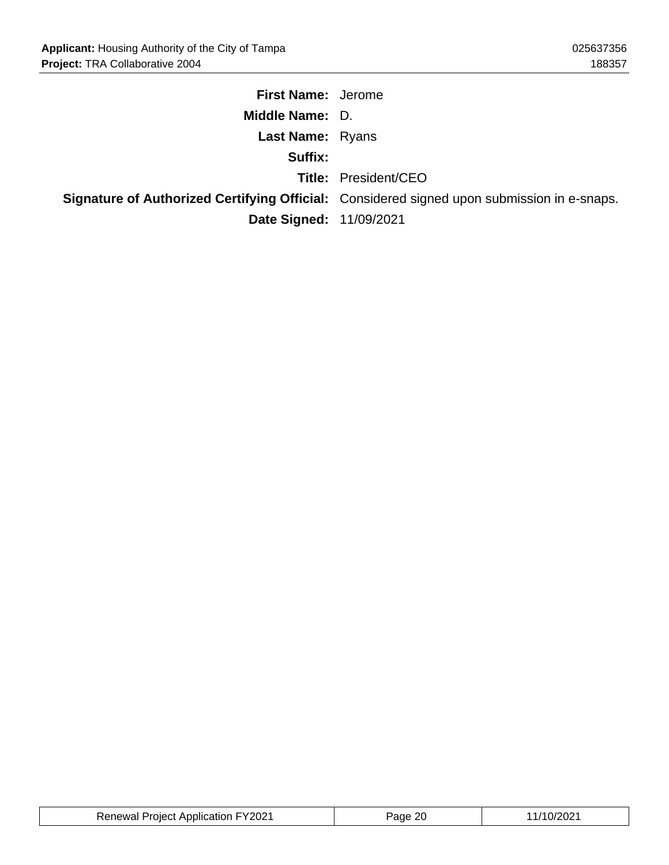| <b>First Name:</b> Jerome |                                                                                                   |
|---------------------------|---------------------------------------------------------------------------------------------------|
| Middle Name: D.           |                                                                                                   |
| <b>Last Name: Ryans</b>   |                                                                                                   |
| Suffix:                   |                                                                                                   |
|                           | <b>Title: President/CEO</b>                                                                       |
|                           | <b>Signature of Authorized Certifying Official:</b> Considered signed upon submission in e-snaps. |
| Date Signed: 11/09/2021   |                                                                                                   |

| <b>Renewal Project Application FY2021</b> | Page | 1/10/2021 |
|-------------------------------------------|------|-----------|
|-------------------------------------------|------|-----------|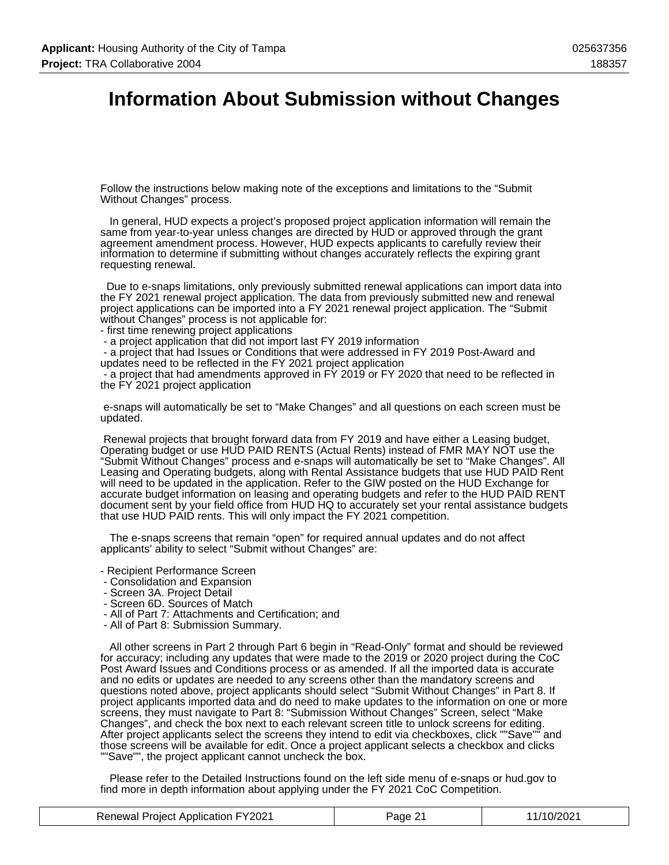## **Information About Submission without Changes**

Follow the instructions below making note of the exceptions and limitations to the "Submit Without Changes" process.

 In general, HUD expects a project's proposed project application information will remain the same from year-to-year unless changes are directed by HUD or approved through the grant agreement amendment process. However, HUD expects applicants to carefully review their information to determine if submitting without changes accurately reflects the expiring grant requesting renewal.

 Due to e-snaps limitations, only previously submitted renewal applications can import data into the FY 2021 renewal project application. The data from previously submitted new and renewal project applications can be imported into a FY 2021 renewal project application. The "Submit without Changes" process is not applicable for:

- first time renewing project applications
- a project application that did not import last FY 2019 information

 - a project that had Issues or Conditions that were addressed in FY 2019 Post-Award and updates need to be reflected in the FY 2021 project application

 - a project that had amendments approved in FY 2019 or FY 2020 that need to be reflected in the FY 2021 project application

 e-snaps will automatically be set to "Make Changes" and all questions on each screen must be updated.

 Renewal projects that brought forward data from FY 2019 and have either a Leasing budget, Operating budget or use HUD PAID RENTS (Actual Rents) instead of FMR MAY NOT use the "Submit Without Changes" process and e-snaps will automatically be set to "Make Changes". All Leasing and Operating budgets, along with Rental Assistance budgets that use HUD PAID Rent will need to be updated in the application. Refer to the GIW posted on the HUD Exchange for accurate budget information on leasing and operating budgets and refer to the HUD PAID RENT document sent by your field office from HUD HQ to accurately set your rental assistance budgets that use HUD PAID rents. This will only impact the FY 2021 competition.

 The e-snaps screens that remain "open" for required annual updates and do not affect applicants' ability to select "Submit without Changes" are:

- Recipient Performance Screen
- Consolidation and Expansion
- Screen 3A. Project Detail
- Screen 6D. Sources of Match
- All of Part 7: Attachments and Certification; and
- All of Part 8: Submission Summary.

 All other screens in Part 2 through Part 6 begin in "Read-Only" format and should be reviewed for accuracy; including any updates that were made to the 2019 or 2020 project during the CoC Post Award Issues and Conditions process or as amended. If all the imported data is accurate and no edits or updates are needed to any screens other than the mandatory screens and questions noted above, project applicants should select "Submit Without Changes" in Part 8. If project applicants imported data and do need to make updates to the information on one or more screens, they must navigate to Part 8: "Submission Without Changes" Screen, select "Make Changes", and check the box next to each relevant screen title to unlock screens for editing. After project applicants select the screens they intend to edit via checkboxes, click ""Save"" and those screens will be available for edit. Once a project applicant selects a checkbox and clicks ""Save"", the project applicant cannot uncheck the box.

 Please refer to the Detailed Instructions found on the left side menu of e-snaps or hud.gov to find more in depth information about applying under the FY 2021 CoC Competition.

| <b>Renewal Project Application FY2021</b> | Page 21 | 11/10/2021 |
|-------------------------------------------|---------|------------|
|-------------------------------------------|---------|------------|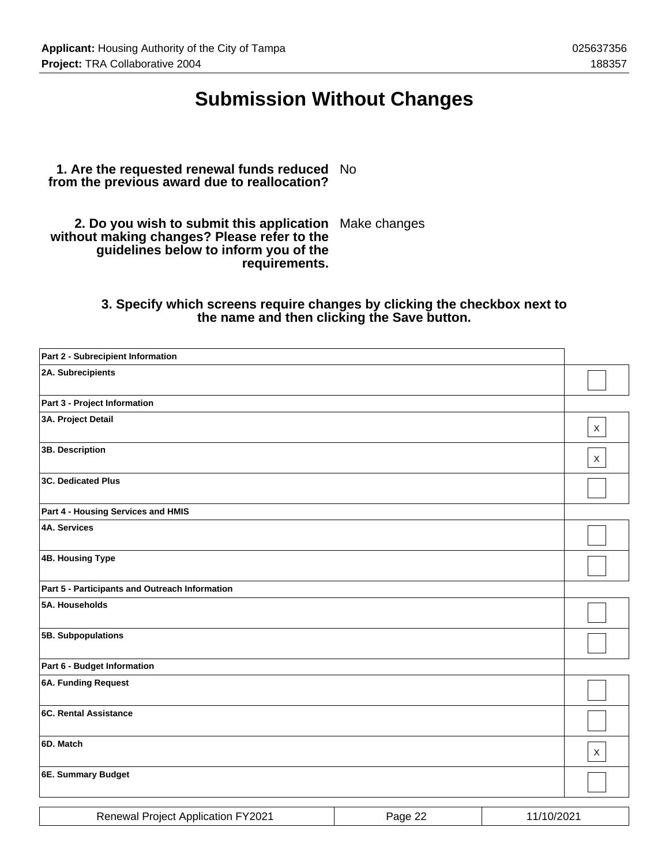## **Submission Without Changes**

#### **1. Are the requested renewal funds reduced** No **from the previous award due to reallocation?**

**2. Do you wish to submit this application** Make changes **without making changes? Please refer to the guidelines below to inform you of the requirements.**

#### **3. Specify which screens require changes by clicking the checkbox next to the name and then clicking the Save button.**

| Part 2 - Subrecipient Information              |         |            |              |
|------------------------------------------------|---------|------------|--------------|
| 2A. Subrecipients                              |         |            |              |
| Part 3 - Project Information                   |         |            |              |
| 3A. Project Detail                             |         |            | $\mathsf X$  |
| 3B. Description                                |         |            | $\mathsf{X}$ |
| 3C. Dedicated Plus                             |         |            |              |
| Part 4 - Housing Services and HMIS             |         |            |              |
| <b>4A. Services</b>                            |         |            |              |
| <b>4B. Housing Type</b>                        |         |            |              |
| Part 5 - Participants and Outreach Information |         |            |              |
| 5A. Households                                 |         |            |              |
| 5B. Subpopulations                             |         |            |              |
| Part 6 - Budget Information                    |         |            |              |
| <b>6A. Funding Request</b>                     |         |            |              |
| <b>6C. Rental Assistance</b>                   |         |            |              |
| 6D. Match                                      |         |            | $\mathsf X$  |
| 6E. Summary Budget                             |         |            |              |
| <b>Renewal Project Application FY2021</b>      | Page 22 | 11/10/2021 |              |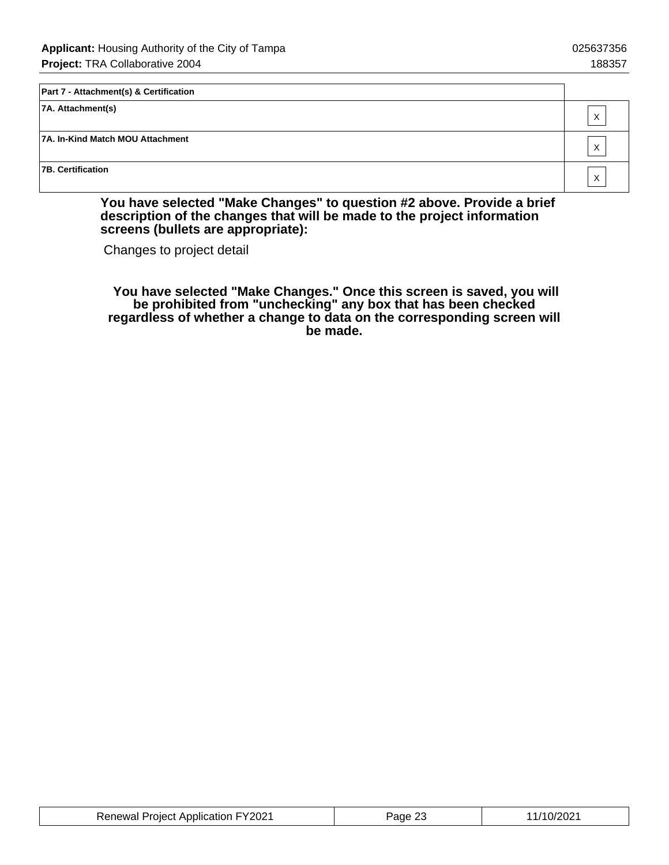| <b>Part 7 - Attachment(s) &amp; Certification</b> |   |
|---------------------------------------------------|---|
| 7A. Attachment(s)                                 | X |
| 7A. In-Kind Match MOU Attachment                  | X |
| 7B. Certification                                 | X |

**You have selected "Make Changes" to question #2 above. Provide a brief description of the changes that will be made to the project information screens (bullets are appropriate):**

Changes to project detail

 **You have selected "Make Changes." Once this screen is saved, you will be prohibited from "unchecking" any box that has been checked regardless of whether a change to data on the corresponding screen will be made.**

| <b>Renewal Project Application FY2021</b> | Page 23 | 11/10/2021 |
|-------------------------------------------|---------|------------|
|-------------------------------------------|---------|------------|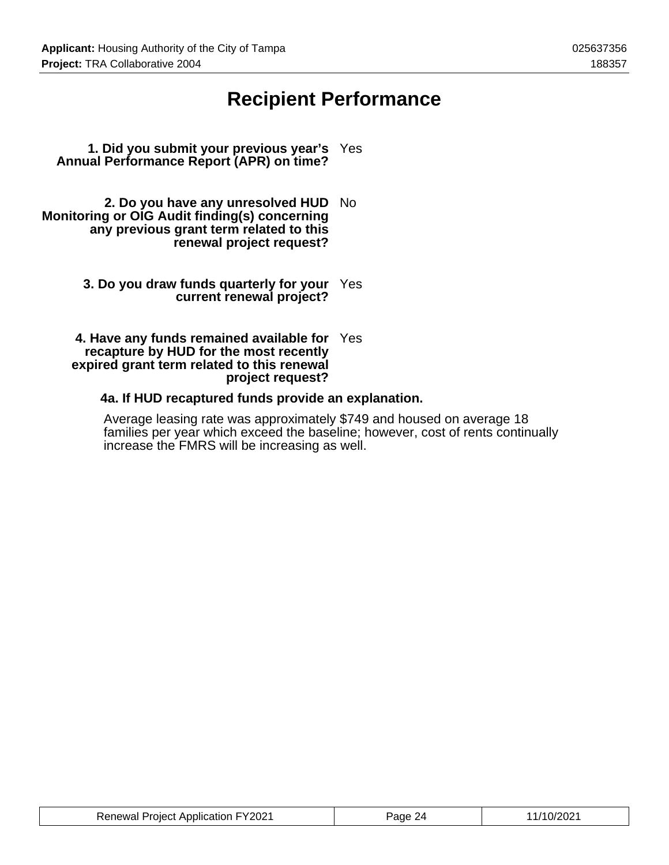## **Recipient Performance**

- **1. Did you submit your previous year's** Yes **Annual Performance Report (APR) on time?**
- **2. Do you have any unresolved HUD** No **Monitoring or OIG Audit finding(s) concerning any previous grant term related to this renewal project request?**
	- **3. Do you draw funds quarterly for your** Yes **current renewal project?**

#### **4. Have any funds remained available for** Yes **recapture by HUD for the most recently expired grant term related to this renewal project request?**

### **4a. If HUD recaptured funds provide an explanation.**

Average leasing rate was approximately \$749 and housed on average 18 families per year which exceed the baseline; however, cost of rents continually increase the FMRS will be increasing as well.

| <b>Renewal Project Application FY2021</b> | Page 24 | 11/10/2021 |
|-------------------------------------------|---------|------------|
|-------------------------------------------|---------|------------|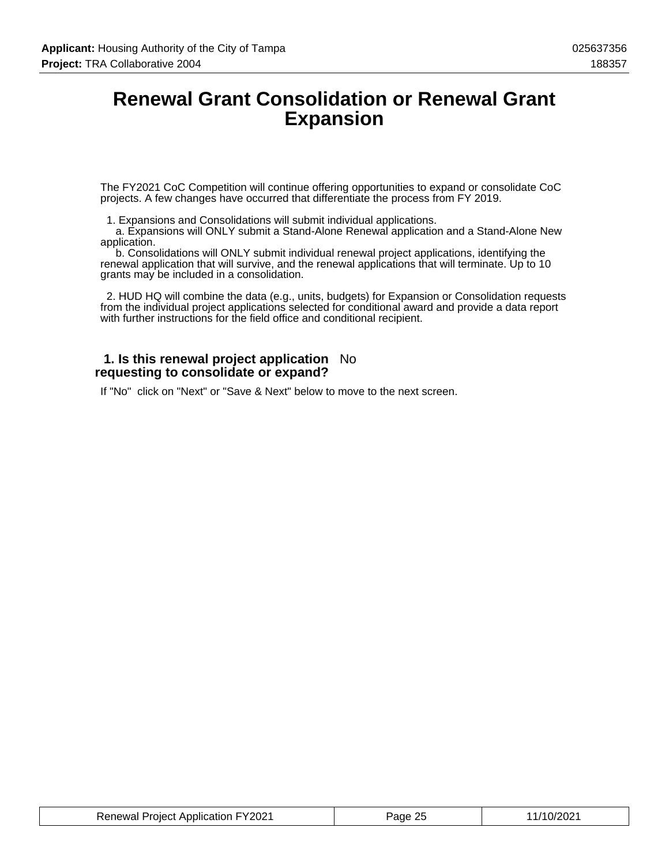## **Renewal Grant Consolidation or Renewal Grant Expansion**

The FY2021 CoC Competition will continue offering opportunities to expand or consolidate CoC projects. A few changes have occurred that differentiate the process from FY 2019.

1. Expansions and Consolidations will submit individual applications.

 a. Expansions will ONLY submit a Stand-Alone Renewal application and a Stand-Alone New application.

 b. Consolidations will ONLY submit individual renewal project applications, identifying the renewal application that will survive, and the renewal applications that will terminate. Up to 10 grants may be included in a consolidation.

 2. HUD HQ will combine the data (e.g., units, budgets) for Expansion or Consolidation requests from the individual project applications selected for conditional award and provide a data report with further instructions for the field office and conditional recipient.

#### **1. Is this renewal project application** No **requesting to consolidate or expand?**

If "No" click on "Next" or "Save & Next" below to move to the next screen.

| <b>Renewal Project Application FY2021</b> | Page 25 | 11/10/2021 |
|-------------------------------------------|---------|------------|
|-------------------------------------------|---------|------------|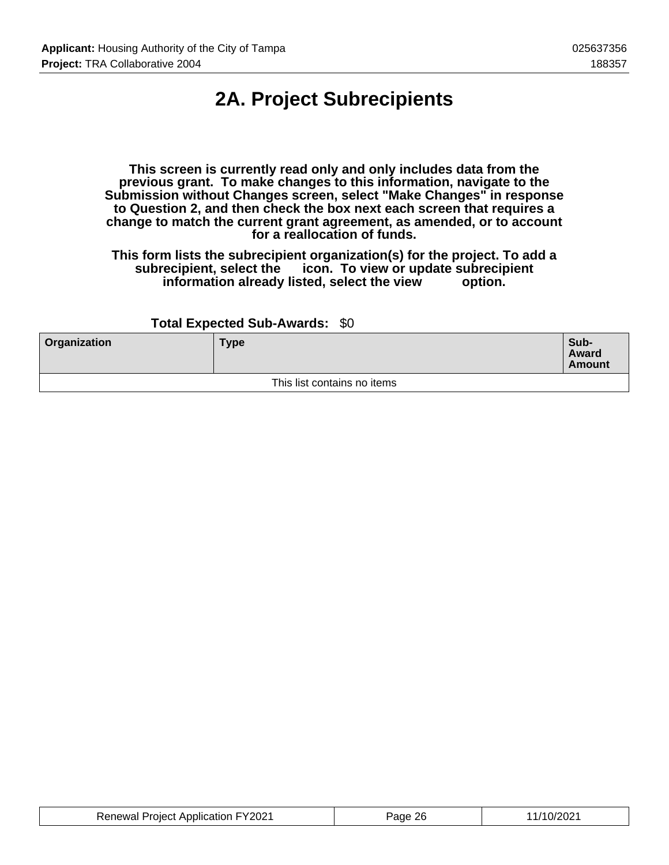# **2A. Project Subrecipients**

**This screen is currently read only and only includes data from the previous grant. To make changes to this information, navigate to the Submission without Changes screen, select "Make Changes" in response to Question 2, and then check the box next each screen that requires a change to match the current grant agreement, as amended, or to account for a reallocation of funds.**

**This form lists the subrecipient organization(s) for the project. To add a subrecipient, select the icon. To view or update subrecipient** information already listed, select the view

|  |  | <b>Total Expected Sub-Awards: \$0</b> |  |
|--|--|---------------------------------------|--|
|--|--|---------------------------------------|--|

| <b>Organization</b> | <b>Type</b>                 | Sub-<br>Award<br><b>Amount</b> |
|---------------------|-----------------------------|--------------------------------|
|                     | This list contains no items |                                |

| <b>Renewal Project Application FY2021</b> | Page 26 | 11/10/2021 |
|-------------------------------------------|---------|------------|
|-------------------------------------------|---------|------------|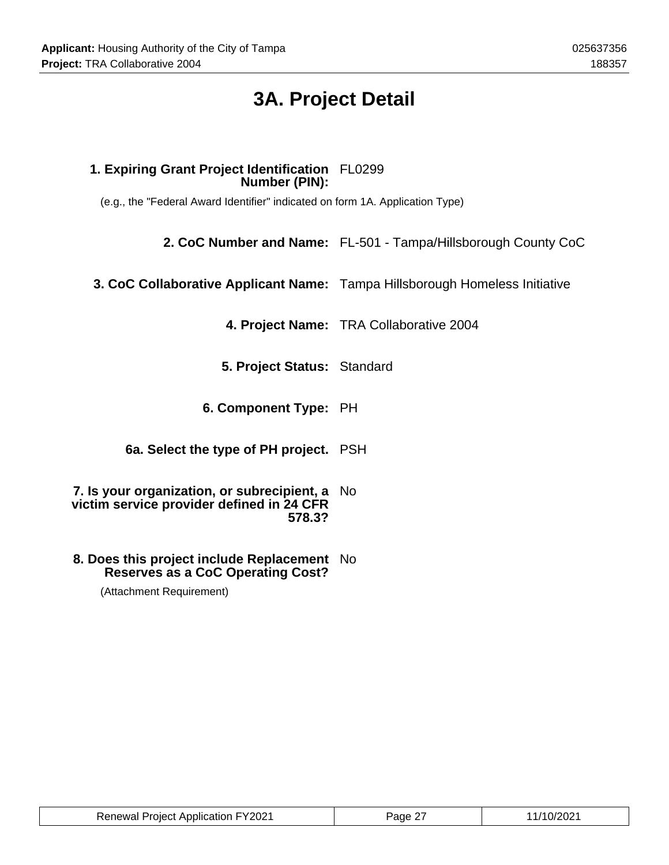# **3A. Project Detail**

## **1. Expiring Grant Project Identification** FL0299 **Number (PIN):**

(e.g., the "Federal Award Identifier" indicated on form 1A. Application Type)

**2. CoC Number and Name:** FL-501 - Tampa/Hillsborough County CoC

**3. CoC Collaborative Applicant Name:** Tampa Hillsborough Homeless Initiative

**4. Project Name:** TRA Collaborative 2004

- **5. Project Status:** Standard
- **6. Component Type:** PH
- **6a. Select the type of PH project.** PSH
- **7. Is your organization, or subrecipient, a** No **victim service provider defined in 24 CFR 578.3?**
- **8. Does this project include Replacement** No **Reserves as a CoC Operating Cost?**

(Attachment Requirement)

| <b>Renewal Project Application FY2021</b> | Page 27 | 11/10/2021 |
|-------------------------------------------|---------|------------|
|-------------------------------------------|---------|------------|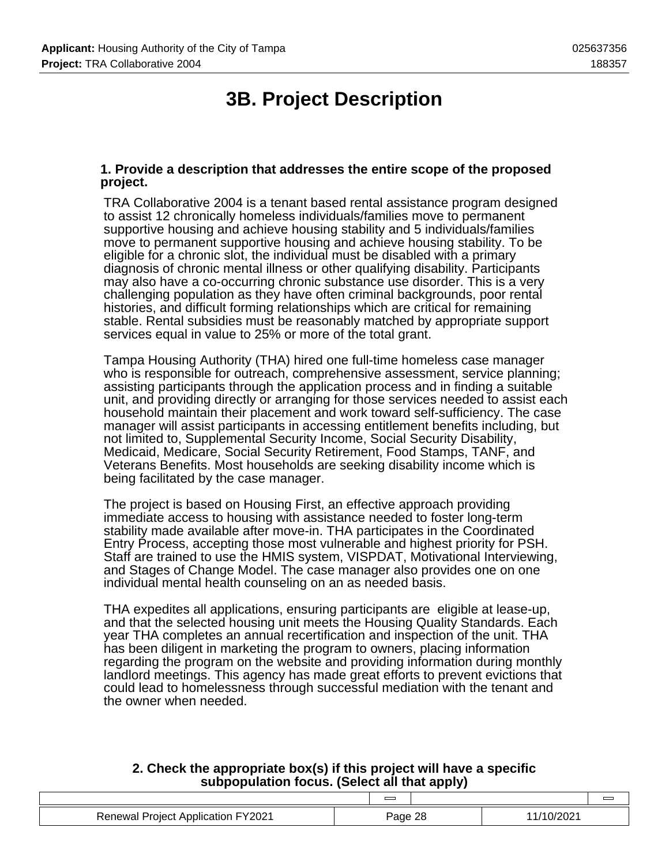# **3B. Project Description**

### **1. Provide a description that addresses the entire scope of the proposed project.**

TRA Collaborative 2004 is a tenant based rental assistance program designed to assist 12 chronically homeless individuals/families move to permanent supportive housing and achieve housing stability and 5 individuals/families move to permanent supportive housing and achieve housing stability. To be eligible for a chronic slot, the individual must be disabled with a primary diagnosis of chronic mental illness or other qualifying disability. Participants may also have a co-occurring chronic substance use disorder. This is a very challenging population as they have often criminal backgrounds, poor rental histories, and difficult forming relationships which are critical for remaining stable. Rental subsidies must be reasonably matched by appropriate support services equal in value to 25% or more of the total grant.

Tampa Housing Authority (THA) hired one full-time homeless case manager who is responsible for outreach, comprehensive assessment, service planning; assisting participants through the application process and in finding a suitable unit, and providing directly or arranging for those services needed to assist each household maintain their placement and work toward self-sufficiency. The case manager will assist participants in accessing entitlement benefits including, but not limited to, Supplemental Security Income, Social Security Disability, Medicaid, Medicare, Social Security Retirement, Food Stamps, TANF, and Veterans Benefits. Most households are seeking disability income which is being facilitated by the case manager.

The project is based on Housing First, an effective approach providing immediate access to housing with assistance needed to foster long-term stability made available after move-in. THA participates in the Coordinated Entry Process, accepting those most vulnerable and highest priority for PSH. Staff are trained to use the HMIS system, VISPDAT, Motivational Interviewing, and Stages of Change Model. The case manager also provides one on one individual mental health counseling on an as needed basis.

THA expedites all applications, ensuring participants are eligible at lease-up, and that the selected housing unit meets the Housing Quality Standards. Each year THA completes an annual recertification and inspection of the unit. THA has been diligent in marketing the program to owners, placing information regarding the program on the website and providing information during monthly landlord meetings. This agency has made great efforts to prevent evictions that could lead to homelessness through successful mediation with the tenant and the owner when needed.

#### **2. Check the appropriate box(s) if this project will have a specific subpopulation focus. (Select all that apply)**

| FY2021<br>Renewal Project Application | Page 28 |  |  |
|---------------------------------------|---------|--|--|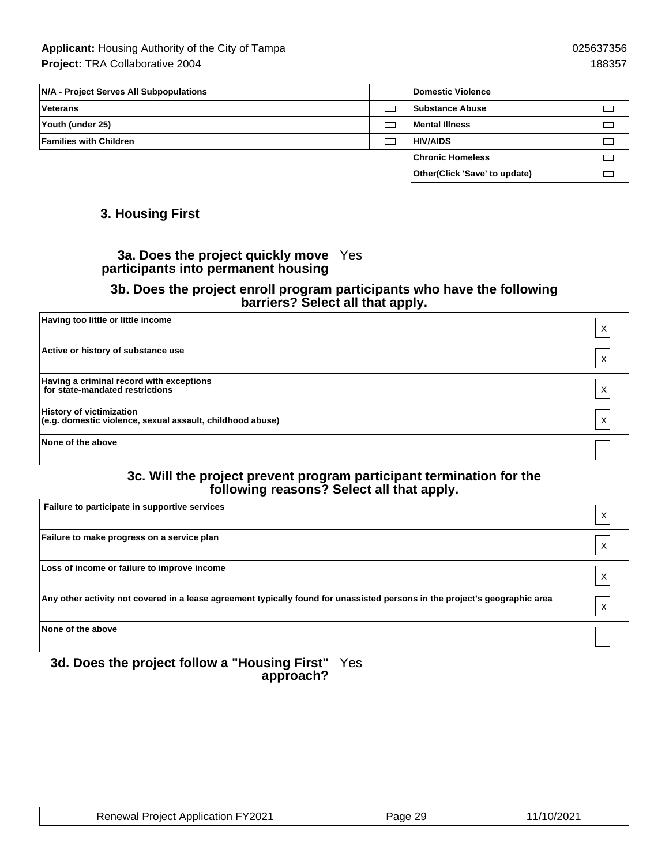| N/A - Project Serves All Subpopulations | <b>Domestic Violence</b>       |  |
|-----------------------------------------|--------------------------------|--|
| <b>Veterans</b>                         | <b>Substance Abuse</b>         |  |
| Youth (under 25)                        | Mental Illness                 |  |
| <b>Families with Children</b>           | <b>HIV/AIDS</b>                |  |
|                                         | <b>Chronic Homeless</b>        |  |
|                                         | Other (Click 'Save' to update) |  |

## **3. Housing First**

### **3a. Does the project quickly move** Yes **participants into permanent housing**

#### **3b. Does the project enroll program participants who have the following barriers? Select all that apply.**

| Having too little or little income                                                           | X |
|----------------------------------------------------------------------------------------------|---|
| Active or history of substance use                                                           | X |
| Having a criminal record with exceptions<br>for state-mandated restrictions                  | Χ |
| <b>History of victimization</b><br>(e.g. domestic violence, sexual assault, childhood abuse) | X |
| None of the above                                                                            |   |

#### **3c. Will the project prevent program participant termination for the following reasons? Select all that apply.**

| Failure to participate in supportive services                                                                               | Х |
|-----------------------------------------------------------------------------------------------------------------------------|---|
| Failure to make progress on a service plan                                                                                  | X |
| Loss of income or failure to improve income                                                                                 | Х |
| Any other activity not covered in a lease agreement typically found for unassisted persons in the project's geographic area | X |
| None of the above                                                                                                           |   |

#### **3d. Does the project follow a "Housing First"** Yes **approach?**

| <b>Renewal Project Application FY2021</b> | aae 29 | 11/10/2021 |
|-------------------------------------------|--------|------------|
|-------------------------------------------|--------|------------|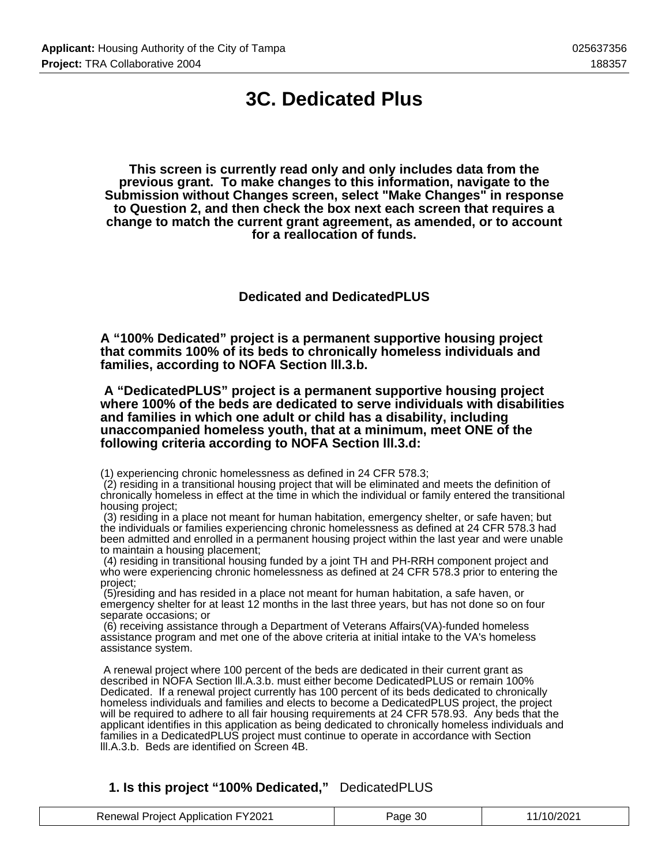## **3C. Dedicated Plus**

**This screen is currently read only and only includes data from the previous grant. To make changes to this information, navigate to the Submission without Changes screen, select "Make Changes" in response to Question 2, and then check the box next each screen that requires a change to match the current grant agreement, as amended, or to account for a reallocation of funds.**

**Dedicated and DedicatedPLUS**

**A "100% Dedicated" project is a permanent supportive housing project that commits 100% of its beds to chronically homeless individuals and families, according to NOFA Section lll.3.b.**

 **A "DedicatedPLUS" project is a permanent supportive housing project where 100% of the beds are dedicated to serve individuals with disabilities and families in which one adult or child has a disability, including unaccompanied homeless youth, that at a minimum, meet ONE of the following criteria according to NOFA Section lll.3.d:**

(1) experiencing chronic homelessness as defined in 24 CFR 578.3;

 (2) residing in a transitional housing project that will be eliminated and meets the definition of chronically homeless in effect at the time in which the individual or family entered the transitional housing project;

 (3) residing in a place not meant for human habitation, emergency shelter, or safe haven; but the individuals or families experiencing chronic homelessness as defined at 24 CFR 578.3 had been admitted and enrolled in a permanent housing project within the last year and were unable to maintain a housing placement;

 (4) residing in transitional housing funded by a joint TH and PH-RRH component project and who were experiencing chronic homelessness as defined at 24 CFR 578.3 prior to entering the project;

 (5)residing and has resided in a place not meant for human habitation, a safe haven, or emergency shelter for at least 12 months in the last three years, but has not done so on four separate occasions; or

 (6) receiving assistance through a Department of Veterans Affairs(VA)-funded homeless assistance program and met one of the above criteria at initial intake to the VA's homeless assistance system.

 A renewal project where 100 percent of the beds are dedicated in their current grant as described in NOFA Section lll.A.3.b. must either become DedicatedPLUS or remain 100% Dedicated. If a renewal project currently has 100 percent of its beds dedicated to chronically homeless individuals and families and elects to become a DedicatedPLUS project, the project will be required to adhere to all fair housing requirements at 24 CFR 578.93. Any beds that the applicant identifies in this application as being dedicated to chronically homeless individuals and families in a DedicatedPLUS project must continue to operate in accordance with Section lll.A.3.b. Beds are identified on Screen 4B.

### **1. Is this project "100% Dedicated,"** DedicatedPLUS

| <b>Renewal Project Application FY2021</b> | Page 30 | 11/10/2021 |
|-------------------------------------------|---------|------------|
|-------------------------------------------|---------|------------|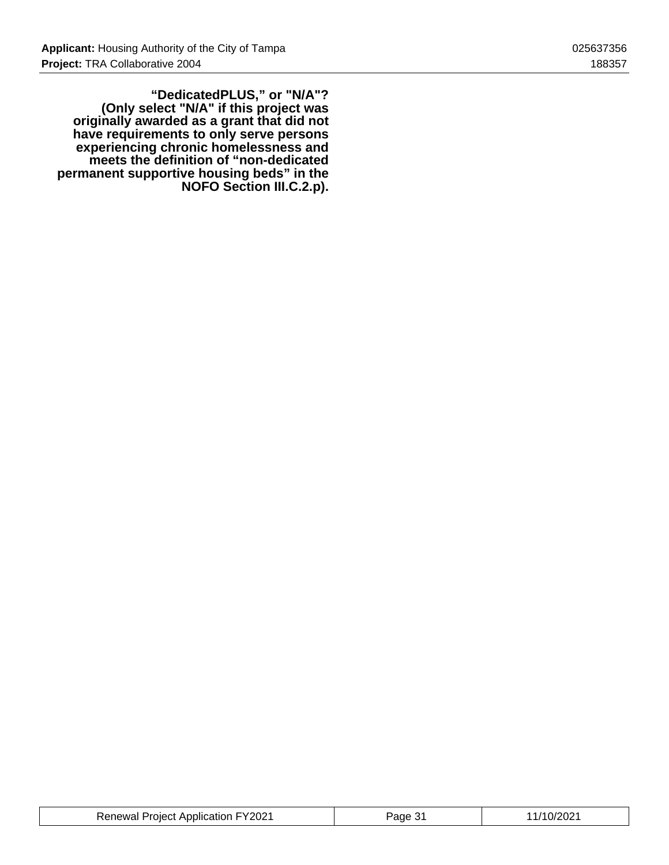**"DedicatedPLUS," or "N/A"? (Only select "N/A" if this project was originally awarded as a grant that did not have requirements to only serve persons experiencing chronic homelessness and meets the definition of "non-dedicated permanent supportive housing beds" in the NOFO Section III.C.2.p).**

| <b>Renewal Project Application FY2021</b> | Page 31 | 1/10/2021 |
|-------------------------------------------|---------|-----------|
|-------------------------------------------|---------|-----------|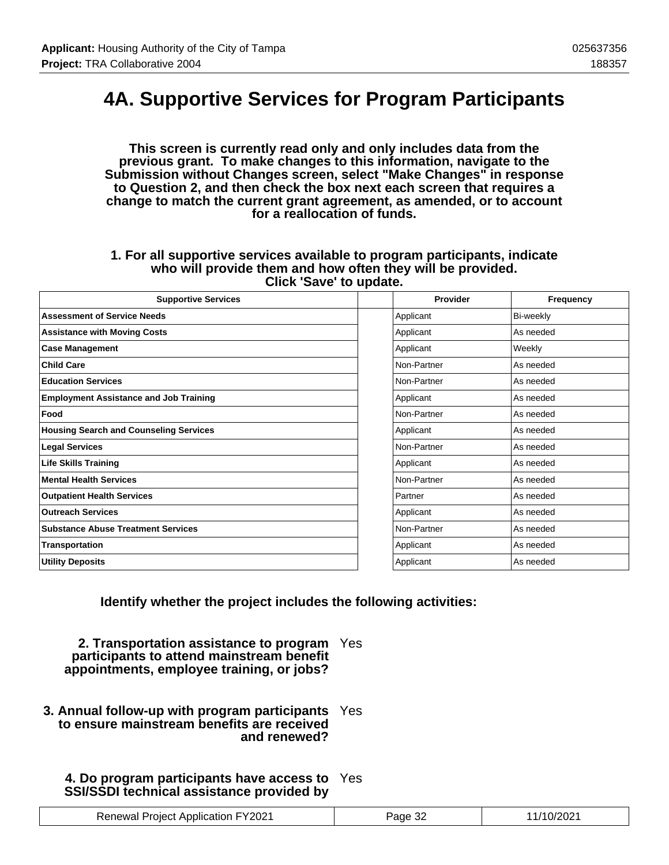## **4A. Supportive Services for Program Participants**

**This screen is currently read only and only includes data from the previous grant. To make changes to this information, navigate to the Submission without Changes screen, select "Make Changes" in response to Question 2, and then check the box next each screen that requires a change to match the current grant agreement, as amended, or to account for a reallocation of funds.**

#### **1. For all supportive services available to program participants, indicate who will provide them and how often they will be provided. Click 'Save' to update.**

| <b>Supportive Services</b>                    | Provider    | Frequency |
|-----------------------------------------------|-------------|-----------|
| <b>Assessment of Service Needs</b>            | Applicant   | Bi-weekly |
| <b>Assistance with Moving Costs</b>           | Applicant   | As needed |
| <b>Case Management</b>                        | Applicant   | Weekly    |
| <b>Child Care</b>                             | Non-Partner | As needed |
| <b>Education Services</b>                     | Non-Partner | As needed |
| <b>Employment Assistance and Job Training</b> | Applicant   | As needed |
| Food                                          | Non-Partner | As needed |
| <b>Housing Search and Counseling Services</b> | Applicant   | As needed |
| <b>Legal Services</b>                         | Non-Partner | As needed |
| <b>Life Skills Training</b>                   | Applicant   | As needed |
| <b>Mental Health Services</b>                 | Non-Partner | As needed |
| <b>Outpatient Health Services</b>             | Partner     | As needed |
| <b>Outreach Services</b>                      | Applicant   | As needed |
| <b>Substance Abuse Treatment Services</b>     | Non-Partner | As needed |
| Transportation                                | Applicant   | As needed |
| <b>Utility Deposits</b>                       | Applicant   | As needed |

**Identify whether the project includes the following activities:**

**2. Transportation assistance to program** Yes **participants to attend mainstream benefit appointments, employee training, or jobs?**

**3. Annual follow-up with program participants** Yes **to ensure mainstream benefits are received and renewed?**

## **4. Do program participants have access to** Yes **SSI/SSDI technical assistance provided by**

| <b>Renewal Project Application FY2021</b> | Page 32 | 11/10/2021 |
|-------------------------------------------|---------|------------|
|-------------------------------------------|---------|------------|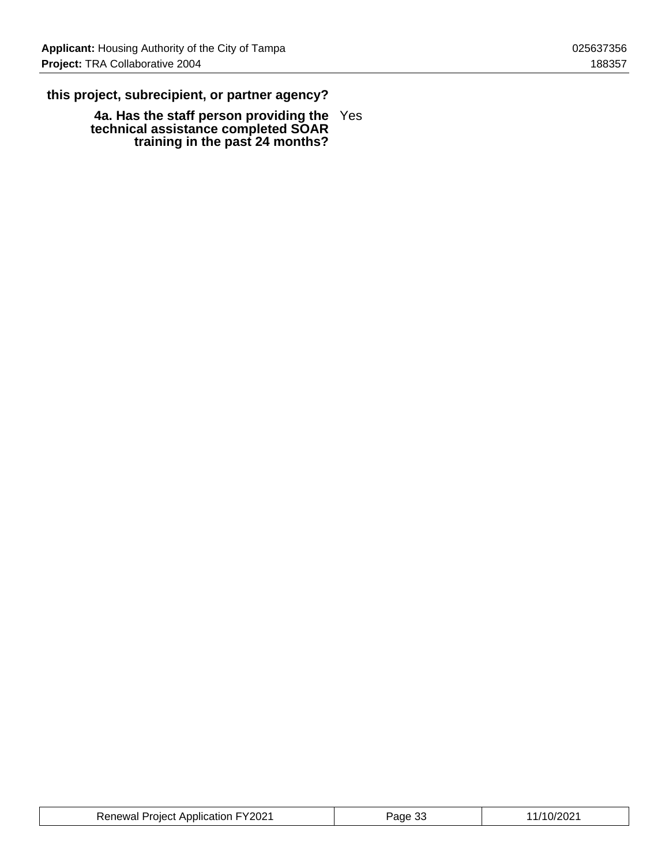## **this project, subrecipient, or partner agency?**

**4a. Has the staff person providing the technical assistance completed SOAR training in the past 24 months?** Yes

| <b>Renewal Project Application FY2021</b> | Page 33 | 11/10/2021 |
|-------------------------------------------|---------|------------|
|-------------------------------------------|---------|------------|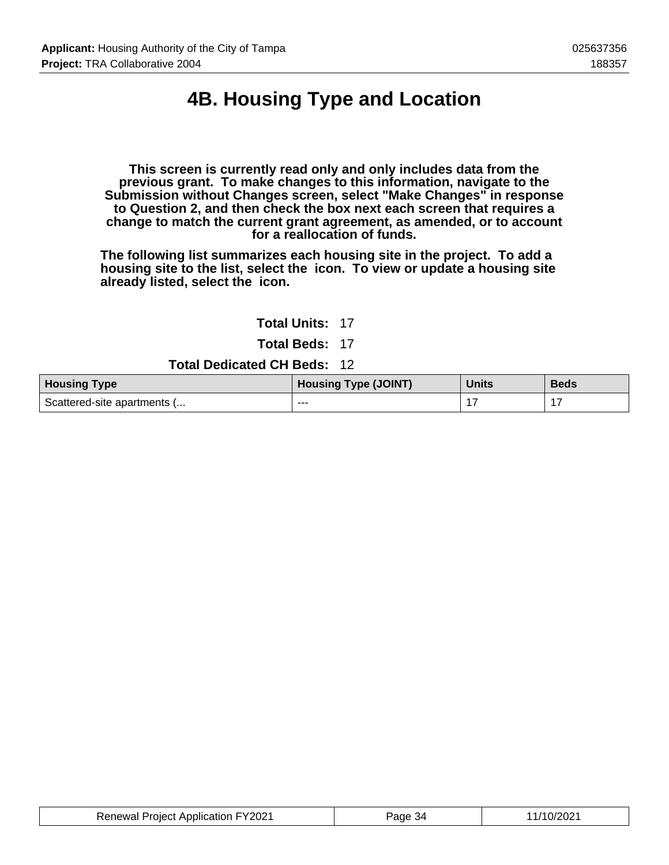# **4B. Housing Type and Location**

**This screen is currently read only and only includes data from the previous grant. To make changes to this information, navigate to the Submission without Changes screen, select "Make Changes" in response to Question 2, and then check the box next each screen that requires a change to match the current grant agreement, as amended, or to account for a reallocation of funds.**

**The following list summarizes each housing site in the project. To add a housing site to the list, select the icon. To view or update a housing site already listed, select the icon.**

#### **Total Units:** 17

#### **Total Beds:** 17

**Total Dedicated CH Beds:** 12

| <b>Housing Type</b>         | <b>Housing Type (JOINT)</b> | <b>Units</b> | <b>Beds</b> |
|-----------------------------|-----------------------------|--------------|-------------|
| Scattered-site apartments ( | ---                         |              |             |

| <b>Renewal Project Application FY2021</b> | Page 34 | 11/10/2021 |
|-------------------------------------------|---------|------------|
|-------------------------------------------|---------|------------|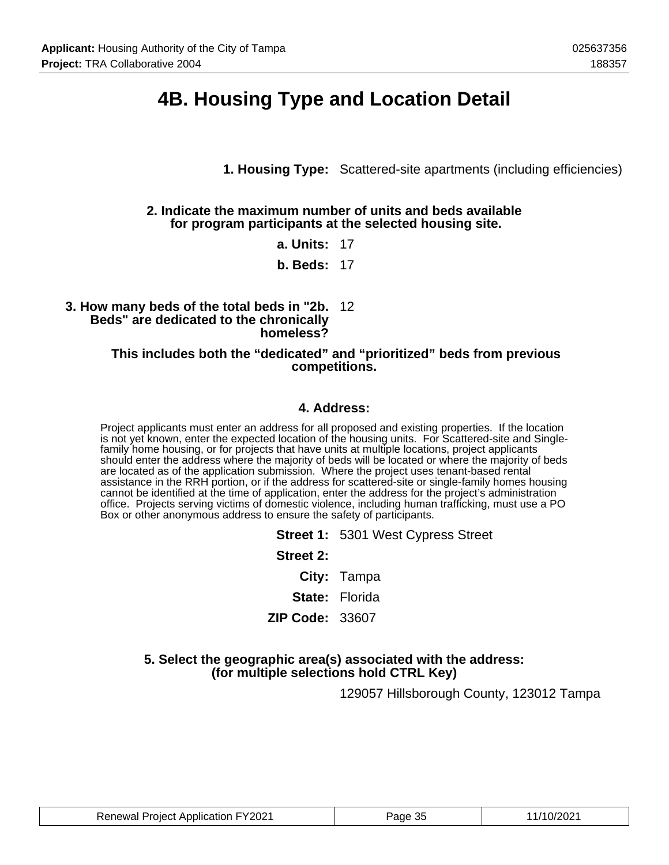## **4B. Housing Type and Location Detail**

**1. Housing Type:** Scattered-site apartments (including efficiencies)

#### **2. Indicate the maximum number of units and beds available for program participants at the selected housing site.**

**a. Units:** 17

**b. Beds:** 17

#### **3. How many beds of the total beds in "2b.** 12 **Beds" are dedicated to the chronically homeless?**

#### **This includes both the "dedicated" and "prioritized" beds from previous competitions.**

## **4. Address:**

Project applicants must enter an address for all proposed and existing properties. If the location is not yet known, enter the expected location of the housing units. For Scattered-site and Singlefamily home housing, or for projects that have units at multiple locations, project applicants should enter the address where the majority of beds will be located or where the majority of beds are located as of the application submission. Where the project uses tenant-based rental assistance in the RRH portion, or if the address for scattered-site or single-family homes housing cannot be identified at the time of application, enter the address for the project's administration office. Projects serving victims of domestic violence, including human trafficking, must use a PO Box or other anonymous address to ensure the safety of participants.

|                 | <b>Street 1: 5301 West Cypress Street</b> |
|-----------------|-------------------------------------------|
| Street 2:       |                                           |
|                 | City: Tampa                               |
|                 | <b>State: Florida</b>                     |
| ZIP Code: 33607 |                                           |
|                 |                                           |

#### **5. Select the geographic area(s) associated with the address: (for multiple selections hold CTRL Key)**

129057 Hillsborough County, 123012 Tampa

| <b>Renewal Project Application FY2021</b> | Page 35 | 11/10/2021 |
|-------------------------------------------|---------|------------|
|-------------------------------------------|---------|------------|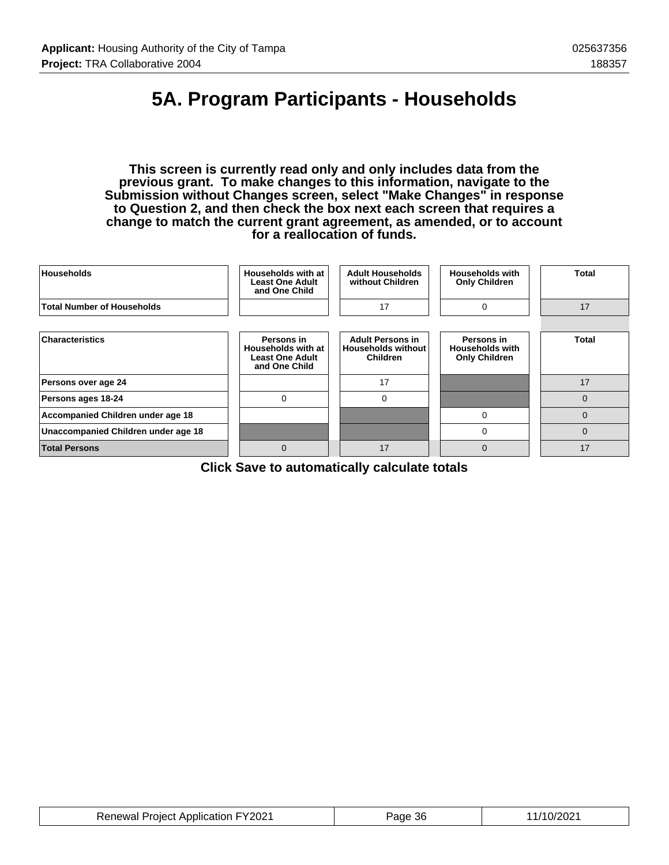# **5A. Program Participants - Households**

**This screen is currently read only and only includes data from the previous grant. To make changes to this information, navigate to the Submission without Changes screen, select "Make Changes" in response to Question 2, and then check the box next each screen that requires a change to match the current grant agreement, as amended, or to account for a reallocation of funds.**

| <b>Households</b>                   | Households with at<br><b>Least One Adult</b><br>and One Child               | <b>Adult Households</b><br>without Children                             | <b>Households with</b><br><b>Only Children</b>               | Total    |
|-------------------------------------|-----------------------------------------------------------------------------|-------------------------------------------------------------------------|--------------------------------------------------------------|----------|
| <b>Total Number of Households</b>   |                                                                             | 17                                                                      | 0                                                            | 17       |
|                                     |                                                                             |                                                                         |                                                              |          |
| <b>Characteristics</b>              | Persons in<br>Households with at<br><b>Least One Adult</b><br>and One Child | <b>Adult Persons in</b><br><b>Households without</b><br><b>Children</b> | Persons in<br><b>Households with</b><br><b>Only Children</b> | Total    |
| Persons over age 24                 |                                                                             | 17                                                                      |                                                              | 17       |
| Persons ages 18-24                  | $\Omega$                                                                    | $\Omega$                                                                |                                                              | $\Omega$ |
| Accompanied Children under age 18   |                                                                             |                                                                         | $\Omega$                                                     | $\Omega$ |
| Unaccompanied Children under age 18 |                                                                             |                                                                         | $\Omega$                                                     | $\Omega$ |
| <b>Total Persons</b>                | $\Omega$                                                                    | 17                                                                      | $\mathbf 0$                                                  | 17       |

**Click Save to automatically calculate totals**

| <b>Renewal Project Application FY2021</b> | Page 36 | 11/10/2021 |
|-------------------------------------------|---------|------------|
|-------------------------------------------|---------|------------|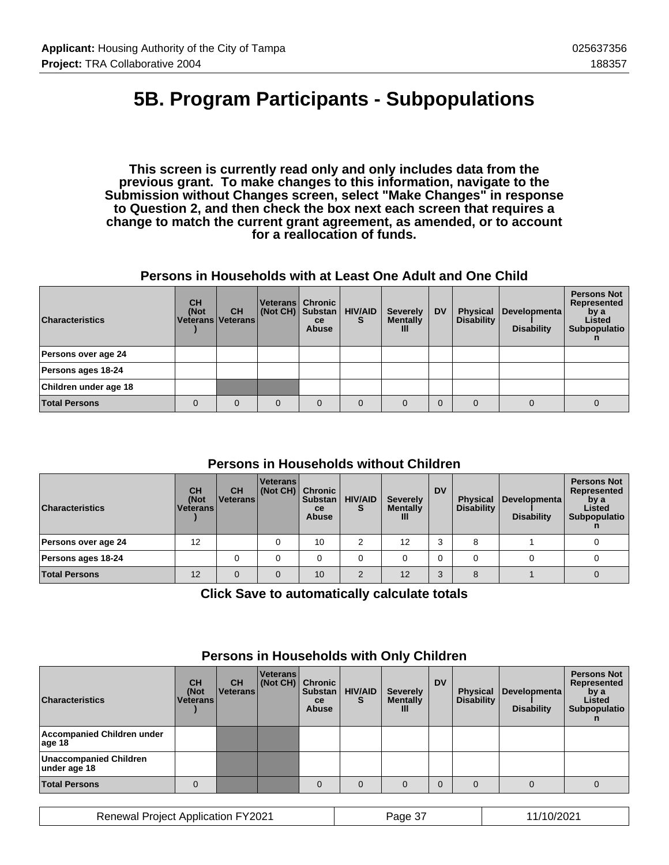## **5B. Program Participants - Subpopulations**

**This screen is currently read only and only includes data from the previous grant. To make changes to this information, navigate to the Submission without Changes screen, select "Make Changes" in response to Question 2, and then check the box next each screen that requires a change to match the current grant agreement, as amended, or to account for a reallocation of funds.**

### **Persons in Households with at Least One Adult and One Child**

| <b>Characteristics</b> | <b>CH</b><br>(Not<br>Veterans   Veterans | <b>CH</b> | Veterans   Chronic<br>(Not CH) Substan | <b>ce</b><br><b>Abuse</b> | <b>HIV/AID</b><br>s | <b>Severely</b><br><b>Mentally</b><br>Ш | <b>DV</b> | <b>Physical</b><br><b>Disability</b> | Developmenta<br><b>Disability</b> | <b>Persons Not</b><br>Represented<br>by a<br>Listed<br>Subpopulatio |
|------------------------|------------------------------------------|-----------|----------------------------------------|---------------------------|---------------------|-----------------------------------------|-----------|--------------------------------------|-----------------------------------|---------------------------------------------------------------------|
| Persons over age 24    |                                          |           |                                        |                           |                     |                                         |           |                                      |                                   |                                                                     |
| Persons ages 18-24     |                                          |           |                                        |                           |                     |                                         |           |                                      |                                   |                                                                     |
| Children under age 18  |                                          |           |                                        |                           |                     |                                         |           |                                      |                                   |                                                                     |
| <b>Total Persons</b>   | 0                                        | $\Omega$  | 0                                      | $\Omega$                  | $\Omega$            |                                         |           |                                      |                                   | 0                                                                   |

## **Persons in Households without Children**

| <b>Characteristics</b> | <b>CH</b><br>(Not<br>l Veterans l | <b>CH</b><br>l Veterans l | <b>Veterans</b><br>$ $ (Not CH) $ $ | <b>Chronic</b><br><b>Substan</b><br><sub>ce</sub><br><b>Abuse</b> | <b>HIV/AID</b> | <b>Severely</b><br><b>Mentally</b><br>$\mathbf{m}$ | <b>DV</b> | <b>Physical</b><br><b>Disability</b> | Developmenta<br><b>Disability</b> | <b>Persons Not</b><br><b>Represented</b><br>by a<br>Listed<br>Subpopulatio |
|------------------------|-----------------------------------|---------------------------|-------------------------------------|-------------------------------------------------------------------|----------------|----------------------------------------------------|-----------|--------------------------------------|-----------------------------------|----------------------------------------------------------------------------|
| Persons over age 24    | 12                                |                           |                                     | 10                                                                |                | 12                                                 |           |                                      |                                   |                                                                            |
| Persons ages 18-24     |                                   |                           |                                     |                                                                   |                |                                                    |           |                                      |                                   |                                                                            |
| <b>Total Persons</b>   | 12                                |                           |                                     | 10                                                                | $\Omega$       | 12                                                 | $\Omega$  |                                      |                                   |                                                                            |

**Click Save to automatically calculate totals**

| <b>Characteristics</b>                        | <b>CH</b><br>(Not<br><b>Veterans</b> | <b>CH</b><br><b>Veterans</b> | <b>Veterans</b> | (Not CH) Chronic<br><b>Substan</b><br>ce<br><b>Abuse</b> | <b>HIV/AID</b><br>S | <b>Severely</b><br><b>Mentally</b><br>Ш | <b>DV</b> | <b>Physical</b><br><b>Disability</b> | Developmenta<br><b>Disability</b> | <b>Persons Not</b><br>Represented<br>by a<br>Listed<br>Subpopulatio |
|-----------------------------------------------|--------------------------------------|------------------------------|-----------------|----------------------------------------------------------|---------------------|-----------------------------------------|-----------|--------------------------------------|-----------------------------------|---------------------------------------------------------------------|
| Accompanied Children under<br>age 18          |                                      |                              |                 |                                                          |                     |                                         |           |                                      |                                   |                                                                     |
| <b>Unaccompanied Children</b><br>under age 18 |                                      |                              |                 |                                                          |                     |                                         |           |                                      |                                   |                                                                     |
| <b>Total Persons</b>                          |                                      |                              |                 | $\Omega$                                                 | $\Omega$            |                                         |           | $\Omega$                             |                                   |                                                                     |

## **Persons in Households with Only Children**

Renewal Project Application FY2021 Page 37 11/10/2021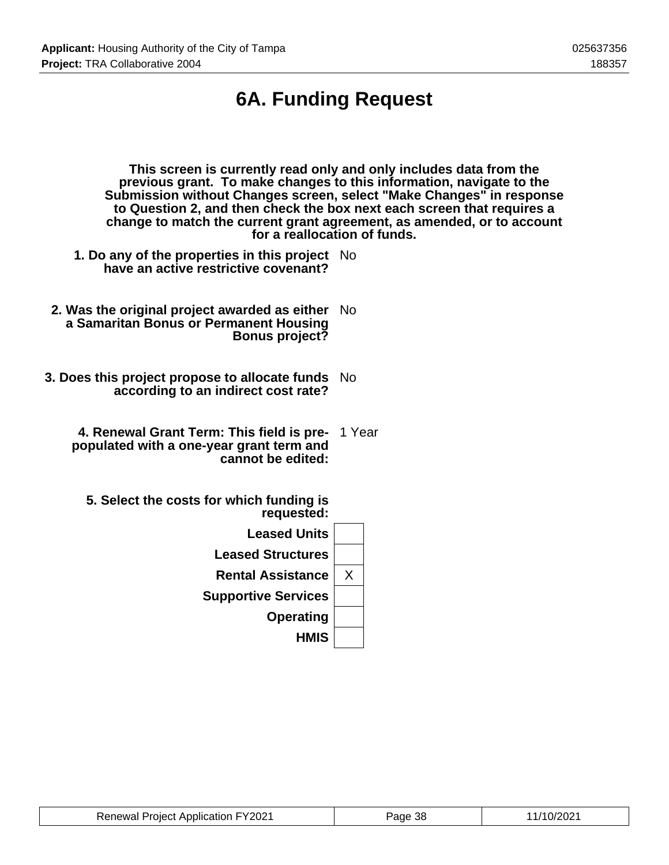# **6A. Funding Request**

|                                                                                                                   | This screen is currently read only and only includes data from the<br>previous grant. To make changes to this information, navigate to the<br>Submission without Changes screen, select "Make Changes" in response<br>to Question 2, and then check the box next each screen that requires a<br>change to match the current grant agreement, as amended, or to account<br>for a reallocation of funds. |
|-------------------------------------------------------------------------------------------------------------------|--------------------------------------------------------------------------------------------------------------------------------------------------------------------------------------------------------------------------------------------------------------------------------------------------------------------------------------------------------------------------------------------------------|
| 1. Do any of the properties in this project No<br>have an active restrictive covenant?                            |                                                                                                                                                                                                                                                                                                                                                                                                        |
| 2. Was the original project awarded as either<br>a Samaritan Bonus or Permanent Housing<br><b>Bonus project?</b>  | No.                                                                                                                                                                                                                                                                                                                                                                                                    |
| 3. Does this project propose to allocate funds No<br>according to an indirect cost rate?                          |                                                                                                                                                                                                                                                                                                                                                                                                        |
| 4. Renewal Grant Term: This field is pre- 1 Year<br>populated with a one-year grant term and<br>cannot be edited: |                                                                                                                                                                                                                                                                                                                                                                                                        |
| 5. Select the costs for which funding is<br>requested:                                                            |                                                                                                                                                                                                                                                                                                                                                                                                        |
| <b>Leased Units</b>                                                                                               |                                                                                                                                                                                                                                                                                                                                                                                                        |
| <b>Leased Structures</b>                                                                                          |                                                                                                                                                                                                                                                                                                                                                                                                        |
| <b>Rental Assistance</b>                                                                                          | X                                                                                                                                                                                                                                                                                                                                                                                                      |
| <b>Supportive Services</b>                                                                                        |                                                                                                                                                                                                                                                                                                                                                                                                        |
| Operating                                                                                                         |                                                                                                                                                                                                                                                                                                                                                                                                        |

**HMIS**

| <b>Renewal Project Application FY2021</b> | Page 38 | 11/10/2021 |
|-------------------------------------------|---------|------------|
|-------------------------------------------|---------|------------|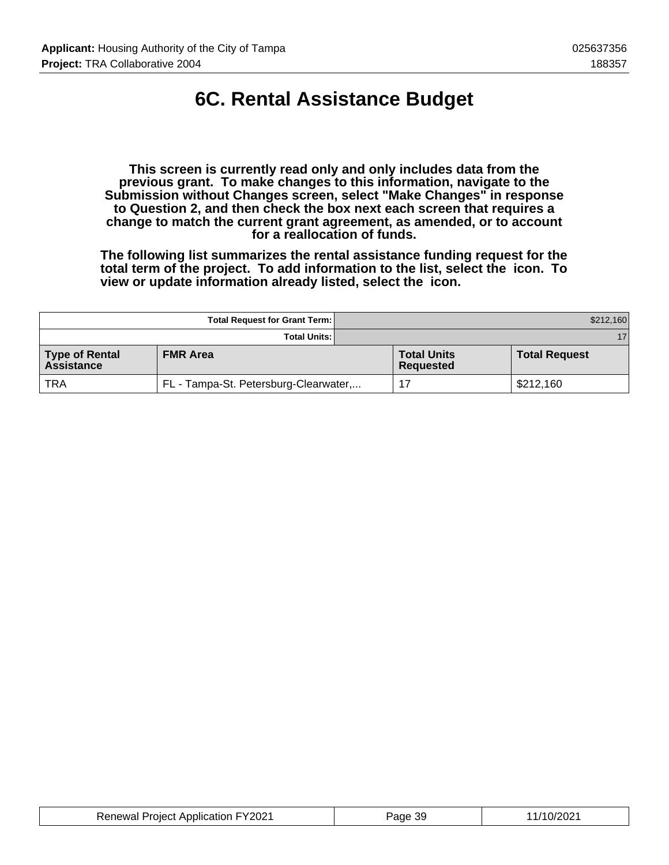# **6C. Rental Assistance Budget**

**This screen is currently read only and only includes data from the previous grant. To make changes to this information, navigate to the Submission without Changes screen, select "Make Changes" in response to Question 2, and then check the box next each screen that requires a change to match the current grant agreement, as amended, or to account for a reallocation of funds.**

**The following list summarizes the rental assistance funding request for the total term of the project. To add information to the list, select the icon. To view or update information already listed, select the icon.**

|                                     | <b>Total Request for Grant Term:</b>  |                                 | \$212,160            |
|-------------------------------------|---------------------------------------|---------------------------------|----------------------|
|                                     | <b>Total Units:</b>                   |                                 | 17 <sup>1</sup>      |
| Type of Rental<br><b>Assistance</b> | <b>FMR Area</b>                       | <b>Total Units</b><br>Requested | <b>Total Request</b> |
| TRA                                 | FL - Tampa-St. Petersburg-Clearwater, | 17                              | \$212,160            |

| <b>Renewal Project Application FY2021</b> | Page 39 | 11/10/2021 |
|-------------------------------------------|---------|------------|
|-------------------------------------------|---------|------------|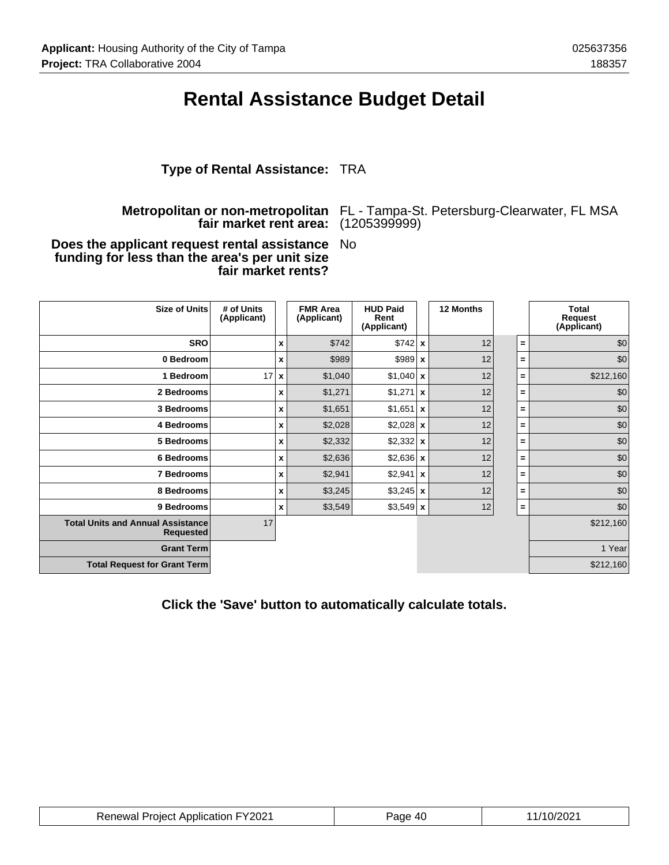## **Rental Assistance Budget Detail**

## **Type of Rental Assistance:** TRA

#### **Metropolitan or non-metropolitan fair market rent area:**

FL - Tampa-St. Petersburg-Clearwater, FL MSA (1205399999)

#### **Does the applicant request rental assistance funding for less than the area's per unit size fair market rents?** No

| <b>Size of Units</b>                                  | # of Units<br>(Applicant) |                           | <b>FMR Area</b><br>(Applicant) | <b>HUD Paid</b><br>Rent<br>(Applicant) | 12 Months |          | <b>Total</b><br>Request<br>(Applicant) |
|-------------------------------------------------------|---------------------------|---------------------------|--------------------------------|----------------------------------------|-----------|----------|----------------------------------------|
| <b>SRO</b>                                            |                           | $\boldsymbol{\mathsf{x}}$ | \$742                          | $$742$ $\times$                        | 12        | $=$      | \$0                                    |
| 0 Bedroom                                             |                           | $\mathbf x$               | \$989                          | $$989$ $\times$                        | 12        | =        | \$0                                    |
| 1 Bedroom                                             | 17 <sup>1</sup>           | $\mathbf x$               | \$1,040                        | $$1,040$ x                             | 12        | $=$      | \$212,160                              |
| 2 Bedrooms                                            |                           | X                         | \$1,271                        | $$1,271$ x                             | 12        | =        | \$0                                    |
| 3 Bedrooms                                            |                           | $\mathbf x$               | \$1,651                        | $$1,651$ x                             | 12        | =        | \$0                                    |
| 4 Bedrooms                                            |                           | X                         | \$2,028                        | $$2,028$ x                             | 12        | =        | \$0                                    |
| 5 Bedrooms                                            |                           | X                         | \$2,332                        | $$2,332$ x                             | 12        | $=$      | \$0                                    |
| <b>6 Bedrooms</b>                                     |                           | $\boldsymbol{x}$          | \$2,636                        | $$2,636$ x                             | 12        | Ξ        | \$0                                    |
| 7 Bedrooms                                            |                           | $\mathbf x$               | \$2,941                        | $$2,941$ x                             | 12        | $=$      | \$0                                    |
| 8 Bedrooms                                            |                           | $\boldsymbol{x}$          | \$3,245                        | $$3,245$ x                             | 12        | $=$      | \$0                                    |
| 9 Bedrooms                                            |                           | X                         | \$3,549                        | $$3,549$ x                             | 12        | $\equiv$ | \$0                                    |
| <b>Total Units and Annual Assistance</b><br>Requested | 17                        |                           |                                |                                        |           |          | \$212,160                              |
| <b>Grant Term</b>                                     |                           |                           |                                |                                        |           |          | 1 Year                                 |
| <b>Total Request for Grant Term</b>                   |                           |                           |                                |                                        |           |          | \$212,160                              |

**Click the 'Save' button to automatically calculate totals.**

| <b>Renewal Project Application FY2021</b> | 'age | /10/2021 |
|-------------------------------------------|------|----------|
|-------------------------------------------|------|----------|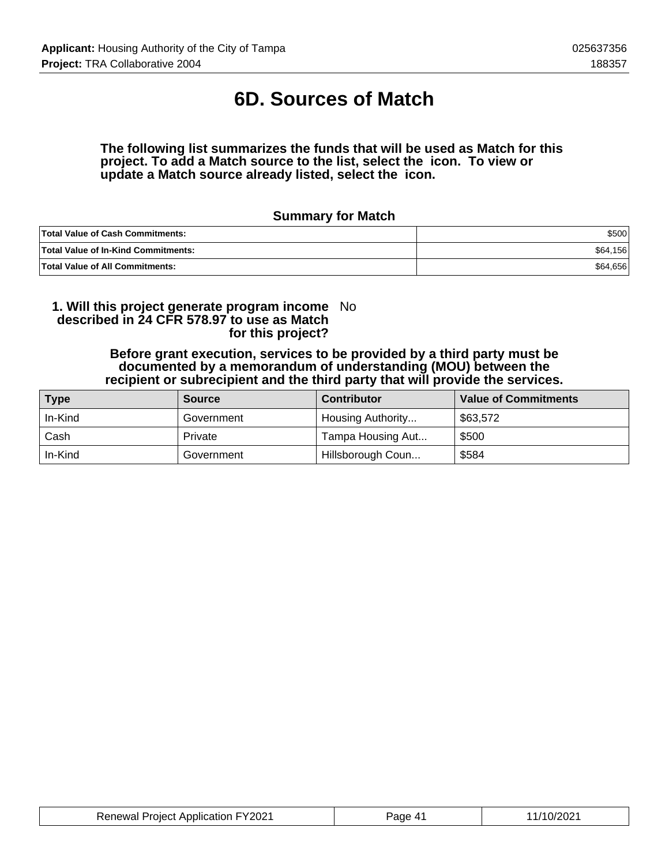# **6D. Sources of Match**

#### **The following list summarizes the funds that will be used as Match for this project. To add a Match source to the list, select the icon. To view or update a Match source already listed, select the icon.**

### **Summary for Match**

| <b>Total Value of Cash Commitments:</b>    | \$500    |
|--------------------------------------------|----------|
| <b>Total Value of In-Kind Commitments:</b> | \$64,156 |
| <b>Total Value of All Commitments:</b>     | \$64,656 |

#### **1. Will this project generate program income** No **described in 24 CFR 578.97 to use as Match for this project?**

#### **Before grant execution, services to be provided by a third party must be documented by a memorandum of understanding (MOU) between the recipient or subrecipient and the third party that will provide the services.**

| <b>Type</b> | <b>Source</b> | <b>Contributor</b> | <b>Value of Commitments</b> |
|-------------|---------------|--------------------|-----------------------------|
| In-Kind     | Government    | Housing Authority  | \$63,572                    |
| Cash        | Private       | Tampa Housing Aut  | \$500                       |
| In-Kind     | Government    | Hillsborough Coun  | \$584                       |

| <b>Renewal Project Application FY2021</b> | 2age 41 | 1/10/2021 |
|-------------------------------------------|---------|-----------|
|                                           |         |           |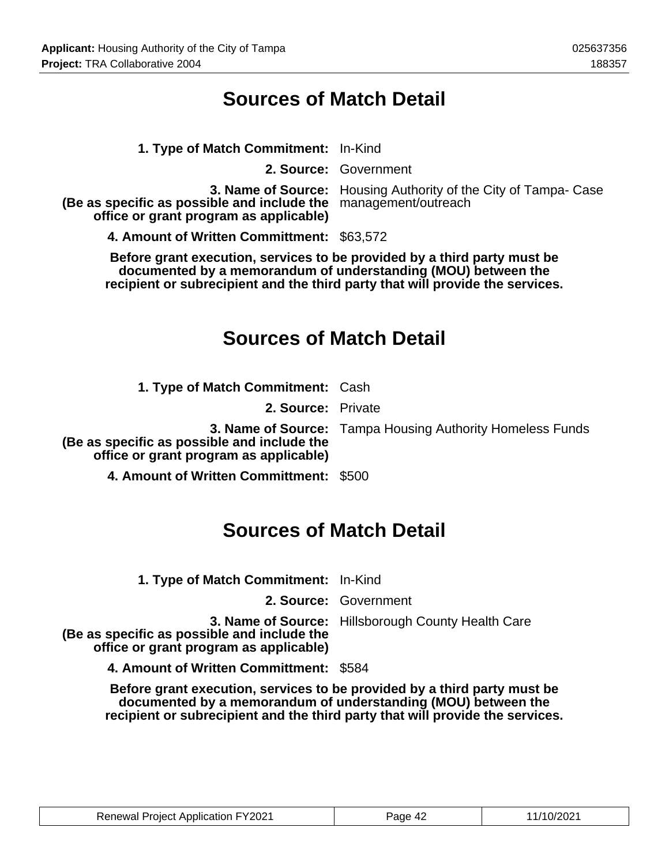## **Sources of Match Detail**

**1. Type of Match Commitment:** In-Kind **2. Source:** Government **3. Name of Source:** Housing Authority of the City of Tampa- Case  **(Be as specific as possible and include the** management/outreach **office or grant program as applicable) 4. Amount of Written Committment:** \$63,572 **Before grant execution, services to be provided by a third party must be documented by a memorandum of understanding (MOU) between the recipient or subrecipient and the third party that will provide the services.**

## **Sources of Match Detail**

**1. Type of Match Commitment:** Cash

**2. Source:** Private

**3. Name of Source:** Tampa Housing Authority Homeless Funds  **(Be as specific as possible and include the office or grant program as applicable)**

**4. Amount of Written Committment:** \$500

## **Sources of Match Detail**

**1. Type of Match Commitment:** In-Kind

**2. Source:** Government

**3. Name of Source:** Hillsborough County Health Care  **(Be as specific as possible and include the office or grant program as applicable)**

**4. Amount of Written Committment:** \$584

**Before grant execution, services to be provided by a third party must be documented by a memorandum of understanding (MOU) between the recipient or subrecipient and the third party that will provide the services.**

| Renewal Proiect Application FY2021 | Page 42 | 11/10/2021 |
|------------------------------------|---------|------------|
|------------------------------------|---------|------------|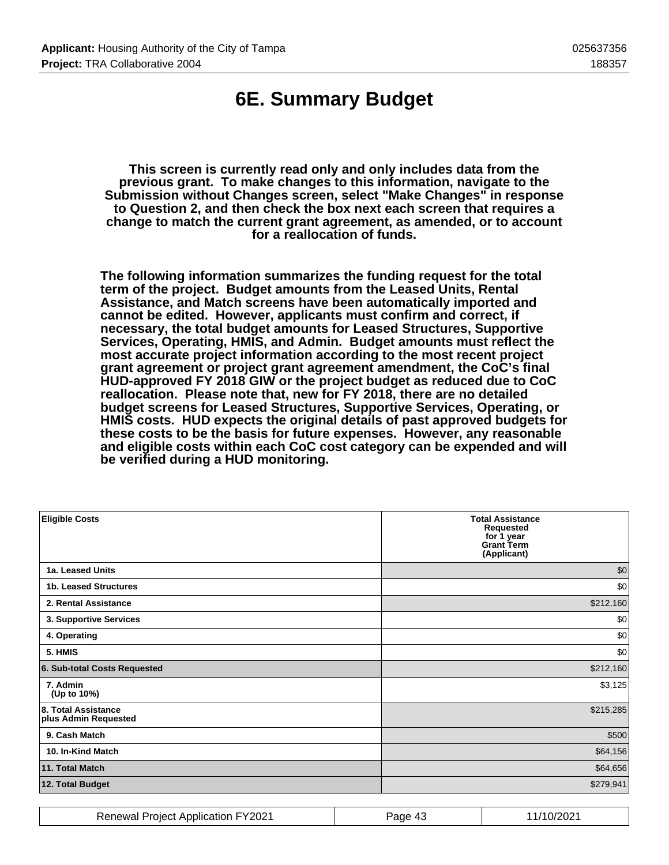# **6E. Summary Budget**

**This screen is currently read only and only includes data from the previous grant. To make changes to this information, navigate to the Submission without Changes screen, select "Make Changes" in response to Question 2, and then check the box next each screen that requires a change to match the current grant agreement, as amended, or to account for a reallocation of funds.**

**The following information summarizes the funding request for the total term of the project. Budget amounts from the Leased Units, Rental Assistance, and Match screens have been automatically imported and cannot be edited. However, applicants must confirm and correct, if necessary, the total budget amounts for Leased Structures, Supportive Services, Operating, HMIS, and Admin. Budget amounts must reflect the most accurate project information according to the most recent project grant agreement or project grant agreement amendment, the CoC's final HUD-approved FY 2018 GIW or the project budget as reduced due to CoC reallocation. Please note that, new for FY 2018, there are no detailed budget screens for Leased Structures, Supportive Services, Operating, or HMIS costs. HUD expects the original details of past approved budgets for these costs to be the basis for future expenses. However, any reasonable and eligible costs within each CoC cost category can be expended and will be verified during a HUD monitoring.**

| <b>Eligible Costs</b>                       | <b>Total Assistance</b><br><b>Requested</b><br>for 1 year<br><b>Grant Term</b><br>(Applicant) |
|---------------------------------------------|-----------------------------------------------------------------------------------------------|
| 1a. Leased Units                            | \$0                                                                                           |
| <b>1b. Leased Structures</b>                | \$0                                                                                           |
| 2. Rental Assistance                        | \$212,160                                                                                     |
| 3. Supportive Services                      | \$0                                                                                           |
| 4. Operating                                | \$0                                                                                           |
| 5. HMIS                                     | \$0                                                                                           |
| 6. Sub-total Costs Requested                | \$212,160                                                                                     |
| 7. Admin<br>(Up to 10%)                     | \$3,125                                                                                       |
| 8. Total Assistance<br>plus Admin Requested | \$215,285                                                                                     |
| 9. Cash Match                               | \$500                                                                                         |
| 10. In-Kind Match                           | \$64,156                                                                                      |
| 11. Total Match                             | \$64,656                                                                                      |
| 12. Total Budget                            | \$279,941                                                                                     |

| <b>Renewal Project Application FY2021</b> | Page 43 | 11/10/2021 |
|-------------------------------------------|---------|------------|
|-------------------------------------------|---------|------------|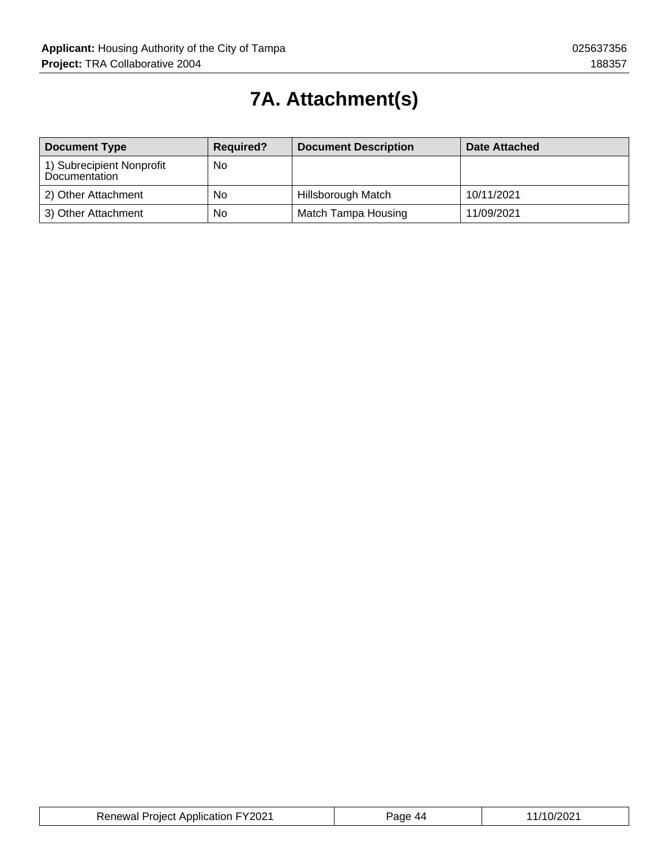# **7A. Attachment(s)**

| <b>Document Type</b>                       | <b>Required?</b> | <b>Document Description</b> | Date Attached |
|--------------------------------------------|------------------|-----------------------------|---------------|
| 1) Subrecipient Nonprofit<br>Documentation | N <sub>0</sub>   |                             |               |
| 2) Other Attachment                        | No               | Hillsborough Match          | 10/11/2021    |
| 3) Other Attachment                        | No               | Match Tampa Housing         | 11/09/2021    |

| <b>Renewal Project Application FY2021</b> | ∙aαe<br>44 | 0/202 <sup>1</sup> |
|-------------------------------------------|------------|--------------------|
|-------------------------------------------|------------|--------------------|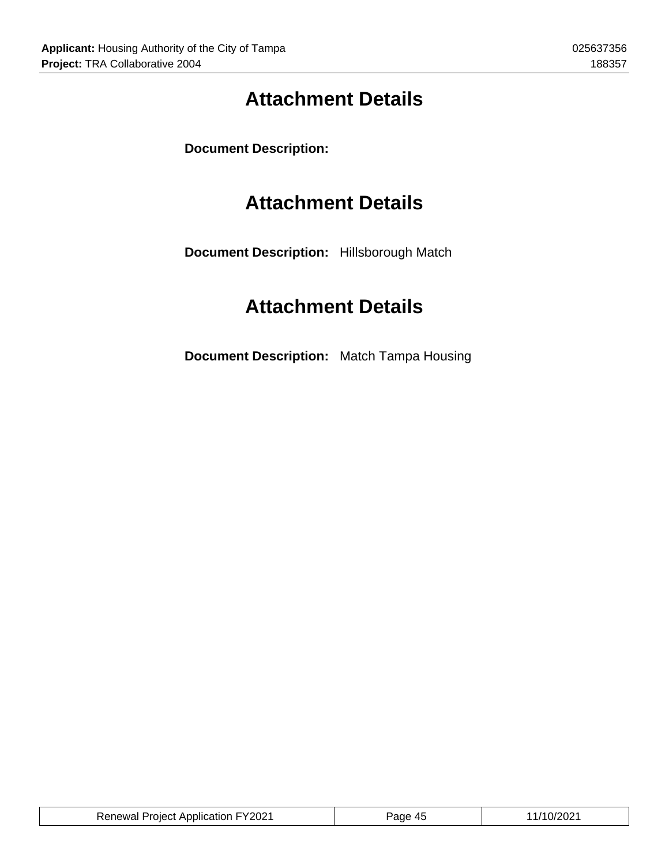# **Attachment Details**

**Document Description:**

## **Attachment Details**

**Document Description:** Hillsborough Match

# **Attachment Details**

**Document Description:** Match Tampa Housing

| <b>Renewal Project Application FY2021</b> | <b>Page 4</b> | /10/2021 |
|-------------------------------------------|---------------|----------|
|                                           |               |          |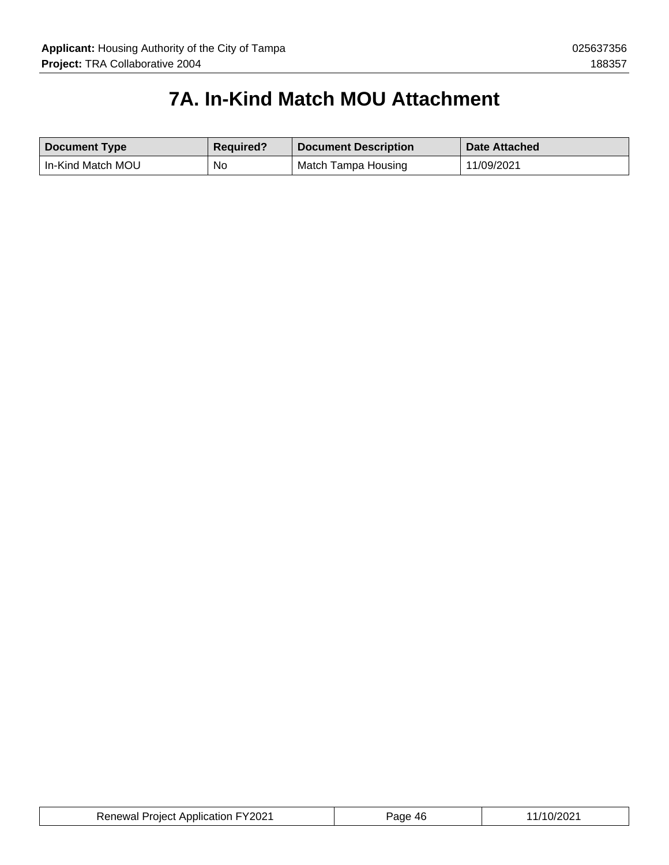# **7A. In-Kind Match MOU Attachment**

| Document Type     | <b>Required?</b> | <b>Document Description</b> | <b>Date Attached</b> |
|-------------------|------------------|-----------------------------|----------------------|
| In-Kind Match MOU | No               | Match Tampa Housing         | 11/09/2021           |

| <b>Renewal Project Application FY2021</b> | Page 46 | 11/10/2021 |
|-------------------------------------------|---------|------------|
|-------------------------------------------|---------|------------|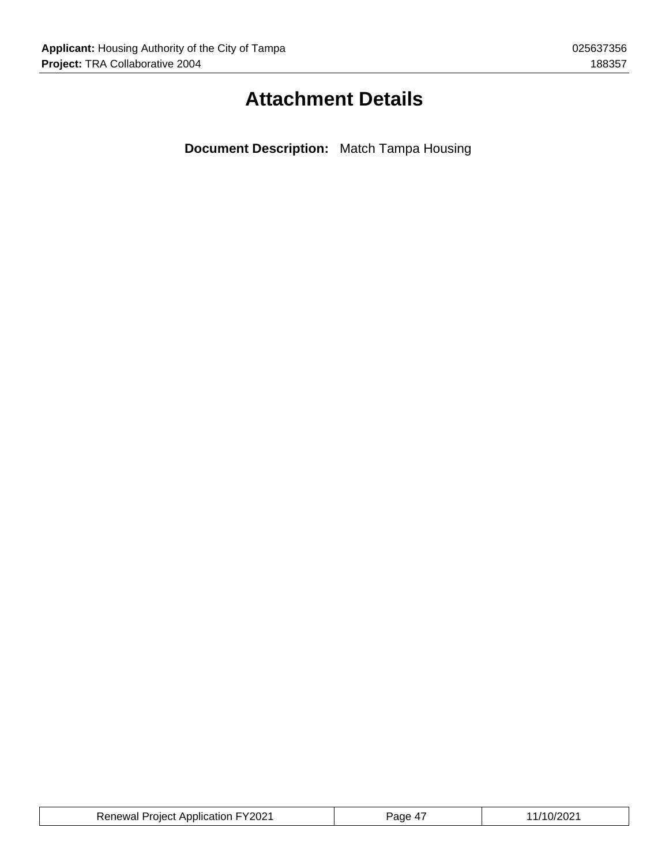# **Attachment Details**

**Document Description:** Match Tampa Housing

| <b>Renewal Project Application FY2021</b> | Page 47 | 11/10/2021 |
|-------------------------------------------|---------|------------|
|-------------------------------------------|---------|------------|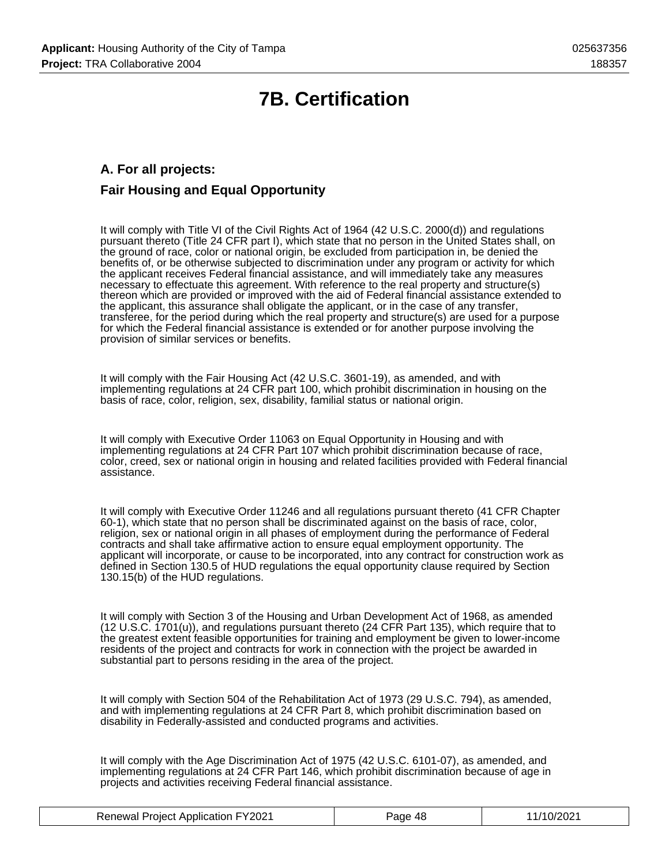# **7B. Certification**

## **A. For all projects: Fair Housing and Equal Opportunity**

It will comply with Title VI of the Civil Rights Act of 1964 (42 U.S.C. 2000(d)) and regulations pursuant thereto (Title 24 CFR part I), which state that no person in the United States shall, on the ground of race, color or national origin, be excluded from participation in, be denied the benefits of, or be otherwise subjected to discrimination under any program or activity for which the applicant receives Federal financial assistance, and will immediately take any measures necessary to effectuate this agreement. With reference to the real property and structure(s) thereon which are provided or improved with the aid of Federal financial assistance extended to the applicant, this assurance shall obligate the applicant, or in the case of any transfer, transferee, for the period during which the real property and structure(s) are used for a purpose for which the Federal financial assistance is extended or for another purpose involving the provision of similar services or benefits.

It will comply with the Fair Housing Act (42 U.S.C. 3601-19), as amended, and with implementing regulations at 24 CFR part 100, which prohibit discrimination in housing on the basis of race, color, religion, sex, disability, familial status or national origin.

It will comply with Executive Order 11063 on Equal Opportunity in Housing and with implementing regulations at 24 CFR Part 107 which prohibit discrimination because of race, color, creed, sex or national origin in housing and related facilities provided with Federal financial assistance.

It will comply with Executive Order 11246 and all regulations pursuant thereto (41 CFR Chapter 60-1), which state that no person shall be discriminated against on the basis of race, color, religion, sex or national origin in all phases of employment during the performance of Federal contracts and shall take affirmative action to ensure equal employment opportunity. The applicant will incorporate, or cause to be incorporated, into any contract for construction work as defined in Section 130.5 of HUD regulations the equal opportunity clause required by Section 130.15(b) of the HUD regulations.

It will comply with Section 3 of the Housing and Urban Development Act of 1968, as amended (12 U.S.C. 1701(u)), and regulations pursuant thereto (24 CFR Part 135), which require that to the greatest extent feasible opportunities for training and employment be given to lower-income residents of the project and contracts for work in connection with the project be awarded in substantial part to persons residing in the area of the project.

It will comply with Section 504 of the Rehabilitation Act of 1973 (29 U.S.C. 794), as amended, and with implementing regulations at 24 CFR Part 8, which prohibit discrimination based on disability in Federally-assisted and conducted programs and activities.

It will comply with the Age Discrimination Act of 1975 (42 U.S.C. 6101-07), as amended, and implementing regulations at 24 CFR Part 146, which prohibit discrimination because of age in projects and activities receiving Federal financial assistance.

| <b>Renewal Project Application FY2021</b> | Page 48 | 11/10/2021 |
|-------------------------------------------|---------|------------|
|-------------------------------------------|---------|------------|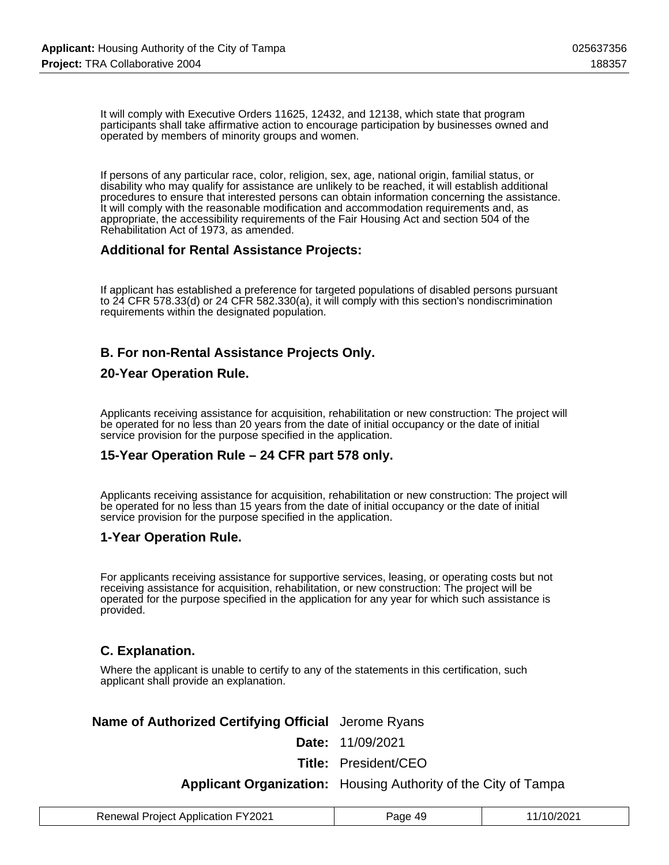It will comply with Executive Orders 11625, 12432, and 12138, which state that program participants shall take affirmative action to encourage participation by businesses owned and operated by members of minority groups and women.

If persons of any particular race, color, religion, sex, age, national origin, familial status, or disability who may qualify for assistance are unlikely to be reached, it will establish additional procedures to ensure that interested persons can obtain information concerning the assistance. It will comply with the reasonable modification and accommodation requirements and, as appropriate, the accessibility requirements of the Fair Housing Act and section 504 of the Rehabilitation Act of 1973, as amended.

### **Additional for Rental Assistance Projects:**

If applicant has established a preference for targeted populations of disabled persons pursuant to 24 CFR 578.33(d) or 24 CFR 582.330(a), it will comply with this section's nondiscrimination requirements within the designated population.

## **B. For non-Rental Assistance Projects Only.**

### **20-Year Operation Rule.**

Applicants receiving assistance for acquisition, rehabilitation or new construction: The project will be operated for no less than 20 years from the date of initial occupancy or the date of initial service provision for the purpose specified in the application.

### **15-Year Operation Rule – 24 CFR part 578 only.**

Applicants receiving assistance for acquisition, rehabilitation or new construction: The project will be operated for no less than 15 years from the date of initial occupancy or the date of initial service provision for the purpose specified in the application.

### **1-Year Operation Rule.**

For applicants receiving assistance for supportive services, leasing, or operating costs but not receiving assistance for acquisition, rehabilitation, or new construction: The project will be operated for the purpose specified in the application for any year for which such assistance is provided.

### **C. Explanation.**

Where the applicant is unable to certify to any of the statements in this certification, such applicant shall provide an explanation.

### **Name of Authorized Certifying Official** Jerome Ryans

**Date:** 11/09/2021

#### **Title:** President/CEO

### **Applicant Organization:** Housing Authority of the City of Tampa

| <b>Renewal Project Application FY2021</b> | Page 49 | 11/10/2021 |
|-------------------------------------------|---------|------------|
|-------------------------------------------|---------|------------|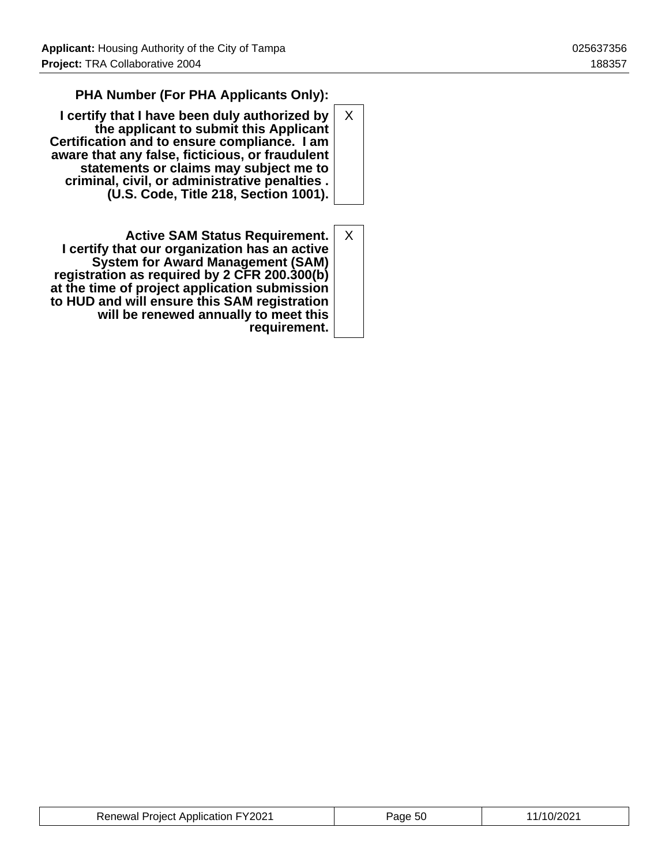## **PHA Number (For PHA Applicants Only):**

- **I certify that I have been duly authorized by the applicant to submit this Applicant Certification and to ensure compliance. I am aware that any false, ficticious, or fraudulent statements or claims may subject me to criminal, civil, or administrative penalties . (U.S. Code, Title 218, Section 1001).** X
- **Active SAM Status Requirement. I certify that our organization has an active System for Award Management (SAM) registration as required by 2 CFR 200.300(b) at the time of project application submission to HUD and will ensure this SAM registration will be renewed annually to meet this requirement.** X

| <b>Renewal Project Application FY2021</b> | Page 50 | 11/10/2021 |
|-------------------------------------------|---------|------------|
|-------------------------------------------|---------|------------|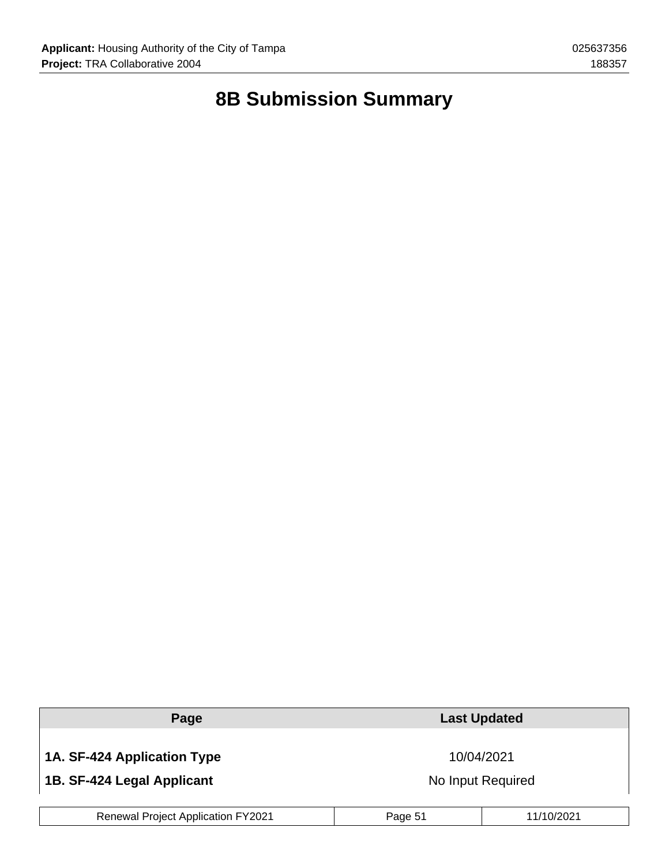# **8B Submission Summary**

| Page                                      | <b>Last Updated</b> |            |  |  |
|-------------------------------------------|---------------------|------------|--|--|
| 1A. SF-424 Application Type               | 10/04/2021          |            |  |  |
| 1B. SF-424 Legal Applicant                | No Input Required   |            |  |  |
| <b>Renewal Project Application FY2021</b> | Page 51             | 11/10/2021 |  |  |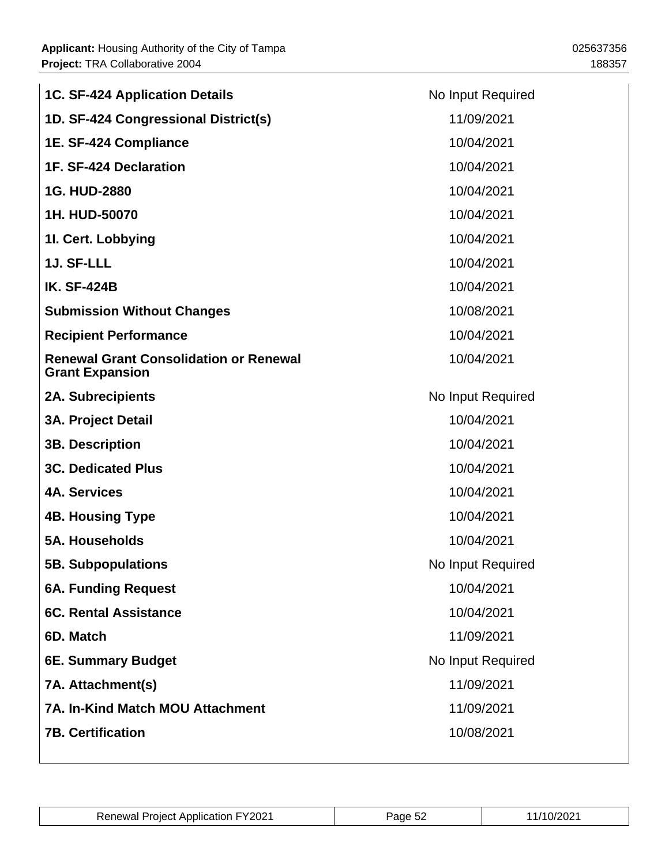| <b>1C. SF-424 Application Details</b>                                   | No Input Required |
|-------------------------------------------------------------------------|-------------------|
| 1D. SF-424 Congressional District(s)                                    | 11/09/2021        |
| 1E. SF-424 Compliance                                                   | 10/04/2021        |
| 1F. SF-424 Declaration                                                  | 10/04/2021        |
| 1G. HUD-2880                                                            | 10/04/2021        |
| 1H. HUD-50070                                                           | 10/04/2021        |
| 1I. Cert. Lobbying                                                      | 10/04/2021        |
| 1J. SF-LLL                                                              | 10/04/2021        |
| <b>IK. SF-424B</b>                                                      | 10/04/2021        |
| <b>Submission Without Changes</b>                                       | 10/08/2021        |
| <b>Recipient Performance</b>                                            | 10/04/2021        |
| <b>Renewal Grant Consolidation or Renewal</b><br><b>Grant Expansion</b> | 10/04/2021        |
| <b>2A. Subrecipients</b>                                                | No Input Required |
| <b>3A. Project Detail</b>                                               | 10/04/2021        |
| <b>3B. Description</b>                                                  | 10/04/2021        |
| <b>3C. Dedicated Plus</b>                                               | 10/04/2021        |
| <b>4A. Services</b>                                                     | 10/04/2021        |
| <b>4B. Housing Type</b>                                                 | 10/04/2021        |
| <b>5A. Households</b>                                                   | 10/04/2021        |
| <b>5B. Subpopulations</b>                                               | No Input Required |
| <b>6A. Funding Request</b>                                              | 10/04/2021        |
| <b>6C. Rental Assistance</b>                                            | 10/04/2021        |
| 6D. Match                                                               | 11/09/2021        |
| <b>6E. Summary Budget</b>                                               | No Input Required |
| 7A. Attachment(s)                                                       | 11/09/2021        |
| 7A. In-Kind Match MOU Attachment                                        | 11/09/2021        |
| <b>7B. Certification</b>                                                | 10/08/2021        |

| t Application FY2021 | Page | $^{\prime\prime}$ |
|----------------------|------|-------------------|
| -Renewal Project     | ےت   | $\sim$ U $\sim$ . |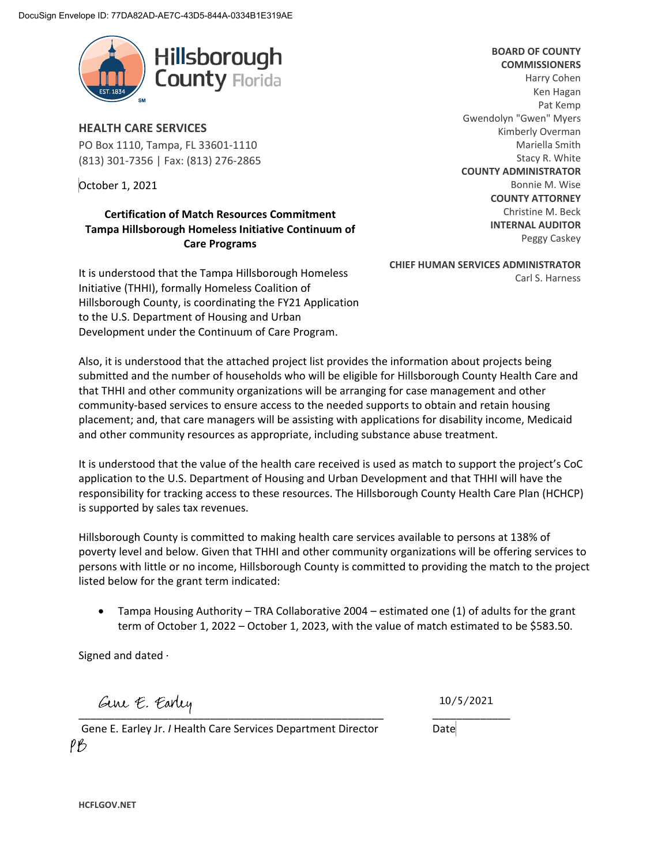

**HEALTH CARE SERVICES** PO Box 1110, Tampa, FL 33601‐1110 (813) 301‐7356 | Fax: (813) 276‐2865

October 1, 2021

### **Certification of Match Resources Commitment Tampa Hillsborough Homeless Initiative Continuum of Care Programs**

It is understood that the Tampa Hillsborough Homeless Initiative (THHI), formally Homeless Coalition of Hillsborough County, is coordinating the FY21 Application to the U.S. Department of Housing and Urban Development under the Continuum of Care Program.

 **COMMISSIONERS**  Harry Cohen Ken Hagan Pat Kemp Gwendolyn "Gwen" Myers Kimberly Overman Mariella Smith Stacy R. White **COUNTY ADMINISTRATOR**  Bonnie M. Wise **COUNTY ATTORNEY** Christine M. Beck **INTERNAL AUDITOR**  Peggy Caskey

**BOARD OF COUNTY** 

**CHIEF HUMAN SERVICES ADMINISTRATOR** Carl S. Harness

Also, it is understood that the attached project list provides the information about projects being submitted and the number of households who will be eligible for Hillsborough County Health Care and that THHI and other community organizations will be arranging for case management and other community-based services to ensure access to the needed supports to obtain and retain housing placement; and, that care managers will be assisting with applications for disability income, Medicaid and other community resources as appropriate, including substance abuse treatment.

It is understood that the value of the health care received is used as match to support the project's CoC application to the U.S. Department of Housing and Urban Development and that THHI will have the responsibility for tracking access to these resources. The Hillsborough County Health Care Plan (HCHCP) is supported by sales tax revenues.

Hillsborough County is committed to making health care services available to persons at 138% of poverty level and below. Given that THHI and other community organizations will be offering services to persons with little or no income, Hillsborough County is committed to providing the match to the project listed below for the grant term indicated:

 Tampa Housing Authority – TRA Collaborative 2004 – estimated one (1) of adults for the grant term of October 1, 2022 – October 1, 2023, with the value of match estimated to be \$583.50.

Signed and dated ∙

\_\_\_\_\_\_\_\_\_\_\_\_\_\_\_\_\_\_\_\_\_\_\_\_\_\_\_\_\_\_\_\_\_\_\_\_\_\_\_\_\_\_\_\_\_\_\_\_\_\_\_ \_\_\_\_\_\_\_\_\_\_\_\_\_

10/5/2021

Gene E. Earley Jr. *I* Health Care Services Department Director **Date** РB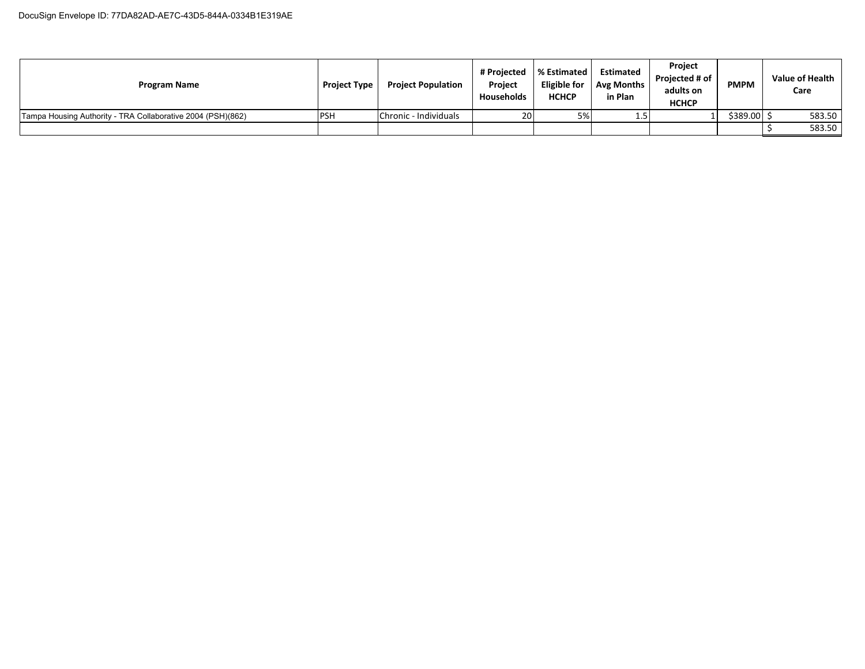| <b>Program Name</b>                                         | <b>Project Type</b> | <b>Project Population</b> | Project<br>Households | # Projected   % Estimated  <br><b>Eligible for</b><br><b>HCHCP</b> | Estimated<br><b>Avg Months</b><br>in Plan | Project<br>Projected # of<br>adults on<br><b>HCHCP</b> | <b>PMPM</b> | <b>Value of Health</b><br>Care |
|-------------------------------------------------------------|---------------------|---------------------------|-----------------------|--------------------------------------------------------------------|-------------------------------------------|--------------------------------------------------------|-------------|--------------------------------|
| Tampa Housing Authority - TRA Collaborative 2004 (PSH)(862) | <b>PSF</b>          | Chronic - Individuals     | 20                    | 5%                                                                 | 1.5                                       |                                                        | \$389.00    | 583.50                         |
|                                                             |                     |                           |                       |                                                                    |                                           |                                                        |             | 583.50                         |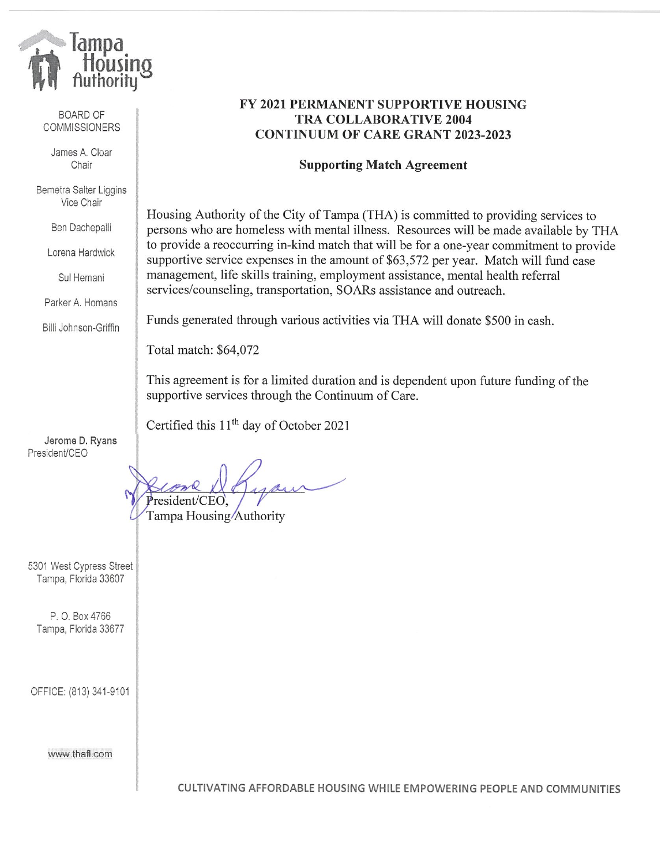

#### **BOARD OF COMMISSIONERS**

James A. Cloar Chair

Bemetra Salter Liggins Vice Chair

Ben Dachepalli

Lorena Hardwick

Sul Hemani

Parker A. Homans

Billi Johnson-Griffin

President/CEO

Jerome D. Ryans

## **FY 2021 PERMANENT SUPPORTIVE HOUSING TRA COLLABORATIVE 2004 CONTINUUM OF CARE GRANT 2023-2023**

## **Supporting Match Agreement**

Housing Authority of the City of Tampa (THA) is committed to providing services to persons who are homeless with mental illness. Resources will be made available by THA to provide a reoccurring in-kind match that will be for a one-year commitment to provide supportive service expenses in the amount of \$63,572 per year. Match will fund case management, life skills training, employment assistance, mental health referral services/counseling, transportation, SOARs assistance and outreach.

Funds generated through various activities via THA will donate \$500 in cash.

Total match: \$64,072

This agreement is for a limited duration and is dependent upon future funding of the supportive services through the Continuum of Care.

Certified this 11<sup>th</sup> day of October 2021

resident Tampa Housing/Authority

5301 West Cypress Street Tampa, Florida 33607

P. O. Box 4766 Tampa, Florida 33677

OFFICE: (813) 341-9101

www.thafl.com